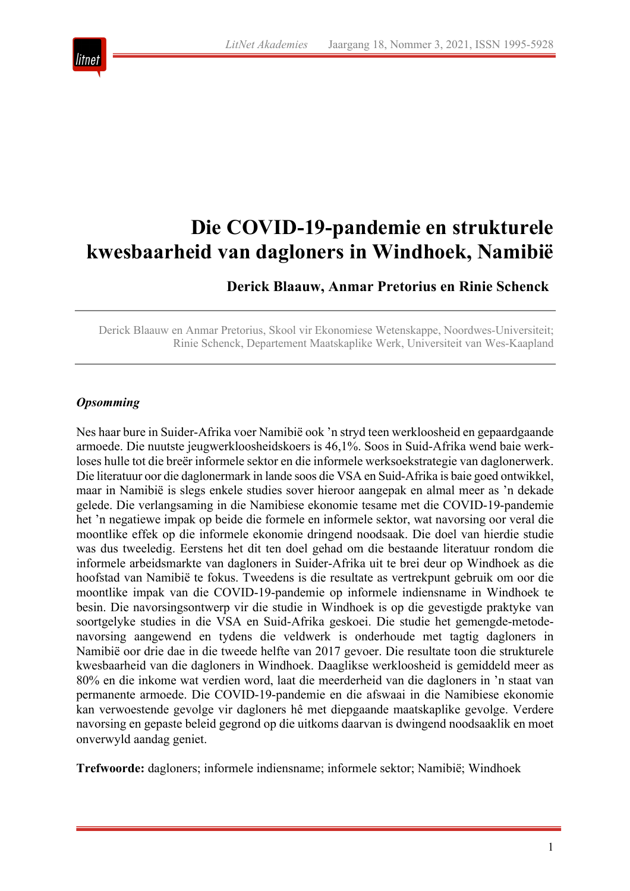

# **Die COVID-19-pandemie en strukturele kwesbaarheid van dagloners in Windhoek, Namibië**

**Derick Blaauw, Anmar Pretorius en Rinie Schenck**

Derick Blaauw en Anmar Pretorius, Skool vir Ekonomiese Wetenskappe, Noordwes-Universiteit; Rinie Schenck, Departement Maatskaplike Werk, Universiteit van Wes-Kaapland

#### *Opsomming*

Nes haar bure in Suider-Afrika voer Namibië ook 'n stryd teen werkloosheid en gepaardgaande armoede. Die nuutste jeugwerkloosheidskoers is 46,1%. Soos in Suid-Afrika wend baie werkloses hulle tot die breër informele sektor en die informele werksoekstrategie van daglonerwerk. Die literatuur oor die daglonermark in lande soos die VSA en Suid-Afrika is baie goed ontwikkel, maar in Namibië is slegs enkele studies sover hieroor aangepak en almal meer as 'n dekade gelede. Die verlangsaming in die Namibiese ekonomie tesame met die COVID-19-pandemie het 'n negatiewe impak op beide die formele en informele sektor, wat navorsing oor veral die moontlike effek op die informele ekonomie dringend noodsaak. Die doel van hierdie studie was dus tweeledig. Eerstens het dit ten doel gehad om die bestaande literatuur rondom die informele arbeidsmarkte van dagloners in Suider-Afrika uit te brei deur op Windhoek as die hoofstad van Namibië te fokus. Tweedens is die resultate as vertrekpunt gebruik om oor die moontlike impak van die COVID-19-pandemie op informele indiensname in Windhoek te besin. Die navorsingsontwerp vir die studie in Windhoek is op die gevestigde praktyke van soortgelyke studies in die VSA en Suid-Afrika geskoei. Die studie het gemengde-metodenavorsing aangewend en tydens die veldwerk is onderhoude met tagtig dagloners in Namibië oor drie dae in die tweede helfte van 2017 gevoer. Die resultate toon die strukturele kwesbaarheid van die dagloners in Windhoek. Daaglikse werkloosheid is gemiddeld meer as 80% en die inkome wat verdien word, laat die meerderheid van die dagloners in 'n staat van permanente armoede. Die COVID-19-pandemie en die afswaai in die Namibiese ekonomie kan verwoestende gevolge vir dagloners hê met diepgaande maatskaplike gevolge. Verdere navorsing en gepaste beleid gegrond op die uitkoms daarvan is dwingend noodsaaklik en moet onverwyld aandag geniet.

**Trefwoorde:** dagloners; informele indiensname; informele sektor; Namibië; Windhoek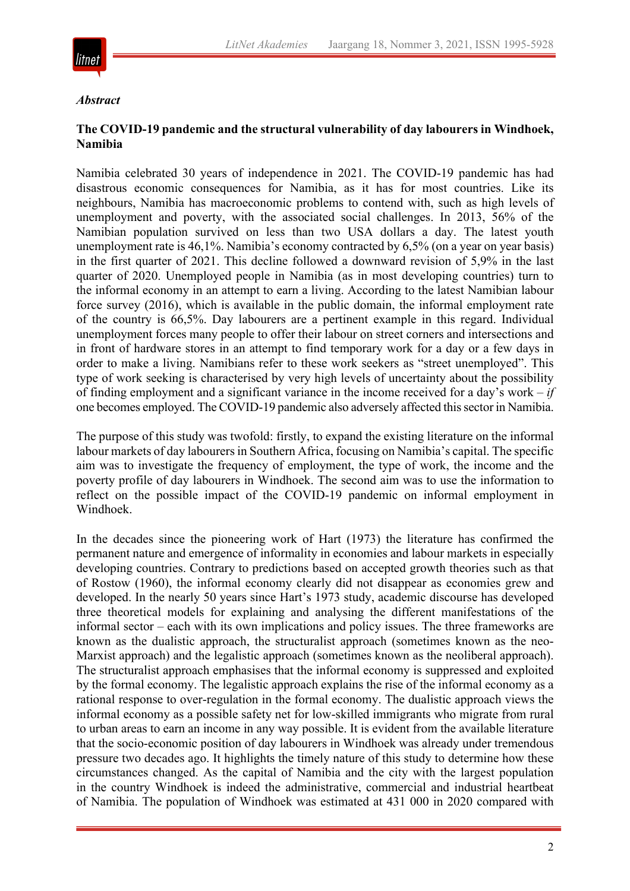

#### *Abstract*

# **The COVID-19 pandemic and the structural vulnerability of day labourers in Windhoek, Namibia**

Namibia celebrated 30 years of independence in 2021. The COVID-19 pandemic has had disastrous economic consequences for Namibia, as it has for most countries. Like its neighbours, Namibia has macroeconomic problems to contend with, such as high levels of unemployment and poverty, with the associated social challenges. In 2013, 56% of the Namibian population survived on less than two USA dollars a day. The latest youth unemployment rate is 46,1%. Namibia's economy contracted by 6,5% (on a year on year basis) in the first quarter of 2021. This decline followed a downward revision of 5,9% in the last quarter of 2020. Unemployed people in Namibia (as in most developing countries) turn to the informal economy in an attempt to earn a living. According to the latest Namibian labour force survey (2016), which is available in the public domain, the informal employment rate of the country is 66,5%. Day labourers are a pertinent example in this regard. Individual unemployment forces many people to offer their labour on street corners and intersections and in front of hardware stores in an attempt to find temporary work for a day or a few days in order to make a living. Namibians refer to these work seekers as "street unemployed". This type of work seeking is characterised by very high levels of uncertainty about the possibility of finding employment and a significant variance in the income received for a day's work – *if* one becomes employed. The COVID-19 pandemic also adversely affected this sector in Namibia.

The purpose of this study was twofold: firstly, to expand the existing literature on the informal labour markets of day labourers in Southern Africa, focusing on Namibia's capital. The specific aim was to investigate the frequency of employment, the type of work, the income and the poverty profile of day labourers in Windhoek. The second aim was to use the information to reflect on the possible impact of the COVID-19 pandemic on informal employment in Windhoek.

In the decades since the pioneering work of Hart (1973) the literature has confirmed the permanent nature and emergence of informality in economies and labour markets in especially developing countries. Contrary to predictions based on accepted growth theories such as that of Rostow (1960), the informal economy clearly did not disappear as economies grew and developed. In the nearly 50 years since Hart's 1973 study, academic discourse has developed three theoretical models for explaining and analysing the different manifestations of the informal sector – each with its own implications and policy issues. The three frameworks are known as the dualistic approach, the structuralist approach (sometimes known as the neo-Marxist approach) and the legalistic approach (sometimes known as the neoliberal approach). The structuralist approach emphasises that the informal economy is suppressed and exploited by the formal economy. The legalistic approach explains the rise of the informal economy as a rational response to over-regulation in the formal economy. The dualistic approach views the informal economy as a possible safety net for low-skilled immigrants who migrate from rural to urban areas to earn an income in any way possible. It is evident from the available literature that the socio-economic position of day labourers in Windhoek was already under tremendous pressure two decades ago. It highlights the timely nature of this study to determine how these circumstances changed. As the capital of Namibia and the city with the largest population in the country Windhoek is indeed the administrative, commercial and industrial heartbeat of Namibia. The population of Windhoek was estimated at 431 000 in 2020 compared with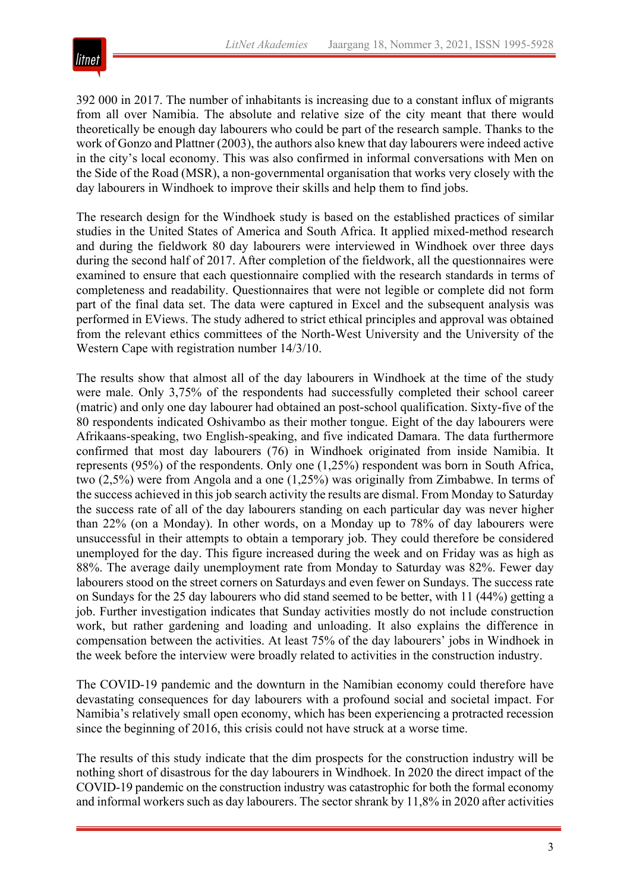

392 000 in 2017. The number of inhabitants is increasing due to a constant influx of migrants from all over Namibia. The absolute and relative size of the city meant that there would theoretically be enough day labourers who could be part of the research sample. Thanks to the work of Gonzo and Plattner (2003), the authors also knew that day labourers were indeed active in the city's local economy. This was also confirmed in informal conversations with Men on the Side of the Road (MSR), a non-governmental organisation that works very closely with the day labourers in Windhoek to improve their skills and help them to find jobs.

The research design for the Windhoek study is based on the established practices of similar studies in the United States of America and South Africa. It applied mixed-method research and during the fieldwork 80 day labourers were interviewed in Windhoek over three days during the second half of 2017. After completion of the fieldwork, all the questionnaires were examined to ensure that each questionnaire complied with the research standards in terms of completeness and readability. Questionnaires that were not legible or complete did not form part of the final data set. The data were captured in Excel and the subsequent analysis was performed in EViews. The study adhered to strict ethical principles and approval was obtained from the relevant ethics committees of the North-West University and the University of the Western Cape with registration number 14/3/10.

The results show that almost all of the day labourers in Windhoek at the time of the study were male. Only 3,75% of the respondents had successfully completed their school career (matric) and only one day labourer had obtained an post-school qualification. Sixty-five of the 80 respondents indicated Oshivambo as their mother tongue. Eight of the day labourers were Afrikaans-speaking, two English-speaking, and five indicated Damara. The data furthermore confirmed that most day labourers (76) in Windhoek originated from inside Namibia. It represents (95%) of the respondents. Only one (1,25%) respondent was born in South Africa, two (2,5%) were from Angola and a one (1,25%) was originally from Zimbabwe. In terms of the success achieved in this job search activity the results are dismal. From Monday to Saturday the success rate of all of the day labourers standing on each particular day was never higher than 22% (on a Monday). In other words, on a Monday up to 78% of day labourers were unsuccessful in their attempts to obtain a temporary job. They could therefore be considered unemployed for the day. This figure increased during the week and on Friday was as high as 88%. The average daily unemployment rate from Monday to Saturday was 82%. Fewer day labourers stood on the street corners on Saturdays and even fewer on Sundays. The success rate on Sundays for the 25 day labourers who did stand seemed to be better, with 11 (44%) getting a job. Further investigation indicates that Sunday activities mostly do not include construction work, but rather gardening and loading and unloading. It also explains the difference in compensation between the activities. At least 75% of the day labourers' jobs in Windhoek in the week before the interview were broadly related to activities in the construction industry.

The COVID-19 pandemic and the downturn in the Namibian economy could therefore have devastating consequences for day labourers with a profound social and societal impact. For Namibia's relatively small open economy, which has been experiencing a protracted recession since the beginning of 2016, this crisis could not have struck at a worse time.

The results of this study indicate that the dim prospects for the construction industry will be nothing short of disastrous for the day labourers in Windhoek. In 2020 the direct impact of the COVID-19 pandemic on the construction industry was catastrophic for both the formal economy and informal workers such as day labourers. The sector shrank by 11,8% in 2020 after activities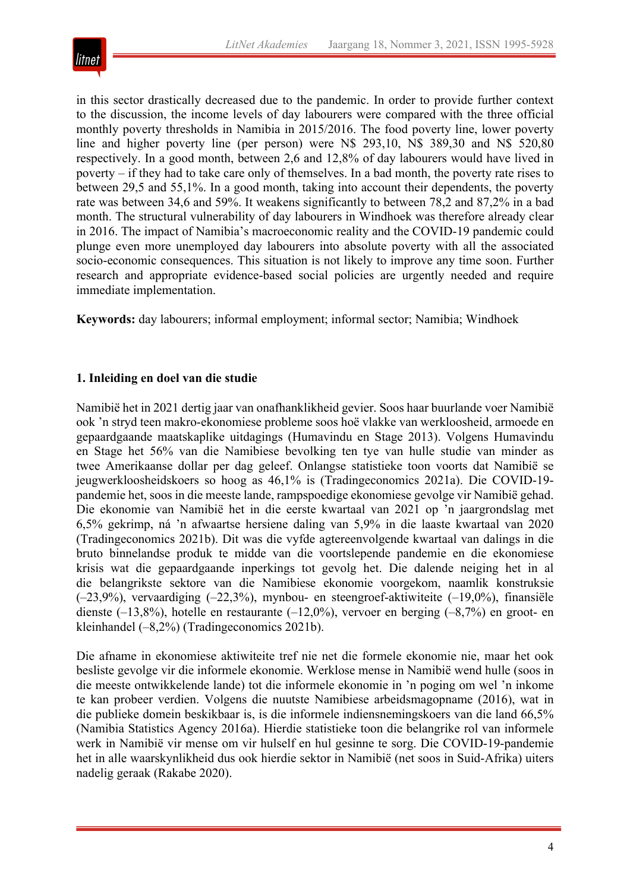

in this sector drastically decreased due to the pandemic. In order to provide further context to the discussion, the income levels of day labourers were compared with the three official monthly poverty thresholds in Namibia in 2015/2016. The food poverty line, lower poverty line and higher poverty line (per person) were N\$ 293,10, N\$ 389,30 and N\$ 520,80 respectively. In a good month, between 2,6 and 12,8% of day labourers would have lived in poverty – if they had to take care only of themselves. In a bad month, the poverty rate rises to between 29,5 and 55,1%. In a good month, taking into account their dependents, the poverty rate was between 34,6 and 59%. It weakens significantly to between 78,2 and 87,2% in a bad month. The structural vulnerability of day labourers in Windhoek was therefore already clear in 2016. The impact of Namibia's macroeconomic reality and the COVID-19 pandemic could plunge even more unemployed day labourers into absolute poverty with all the associated socio-economic consequences. This situation is not likely to improve any time soon. Further research and appropriate evidence-based social policies are urgently needed and require immediate implementation.

**Keywords:** day labourers; informal employment; informal sector; Namibia; Windhoek

#### **1. Inleiding en doel van die studie**

Namibië het in 2021 dertig jaar van onafhanklikheid gevier. Soos haar buurlande voer Namibië ook 'n stryd teen makro-ekonomiese probleme soos hoë vlakke van werkloosheid, armoede en gepaardgaande maatskaplike uitdagings (Humavindu en Stage 2013). Volgens Humavindu en Stage het 56% van die Namibiese bevolking ten tye van hulle studie van minder as twee Amerikaanse dollar per dag geleef. Onlangse statistieke toon voorts dat Namibië se jeugwerkloosheidskoers so hoog as 46,1% is (Tradingeconomics 2021a). Die COVID-19 pandemie het, soos in die meeste lande, rampspoedige ekonomiese gevolge vir Namibië gehad. Die ekonomie van Namibië het in die eerste kwartaal van 2021 op 'n jaargrondslag met 6,5% gekrimp, ná 'n afwaartse hersiene daling van 5,9% in die laaste kwartaal van 2020 (Tradingeconomics 2021b). Dit was die vyfde agtereenvolgende kwartaal van dalings in die bruto binnelandse produk te midde van die voortslepende pandemie en die ekonomiese krisis wat die gepaardgaande inperkings tot gevolg het. Die dalende neiging het in al die belangrikste sektore van die Namibiese ekonomie voorgekom, naamlik konstruksie (–23,9%), vervaardiging (–22,3%), mynbou- en steengroef-aktiwiteite (–19,0%), finansiële dienste (–13,8%), hotelle en restaurante (–12,0%), vervoer en berging (–8,7%) en groot- en kleinhandel (–8,2%) (Tradingeconomics 2021b).

Die afname in ekonomiese aktiwiteite tref nie net die formele ekonomie nie, maar het ook besliste gevolge vir die informele ekonomie. Werklose mense in Namibië wend hulle (soos in die meeste ontwikkelende lande) tot die informele ekonomie in 'n poging om wel 'n inkome te kan probeer verdien. Volgens die nuutste Namibiese arbeidsmagopname (2016), wat in die publieke domein beskikbaar is, is die informele indiensnemingskoers van die land 66,5% (Namibia Statistics Agency 2016a). Hierdie statistieke toon die belangrike rol van informele werk in Namibië vir mense om vir hulself en hul gesinne te sorg. Die COVID-19-pandemie het in alle waarskynlikheid dus ook hierdie sektor in Namibië (net soos in Suid-Afrika) uiters nadelig geraak (Rakabe 2020).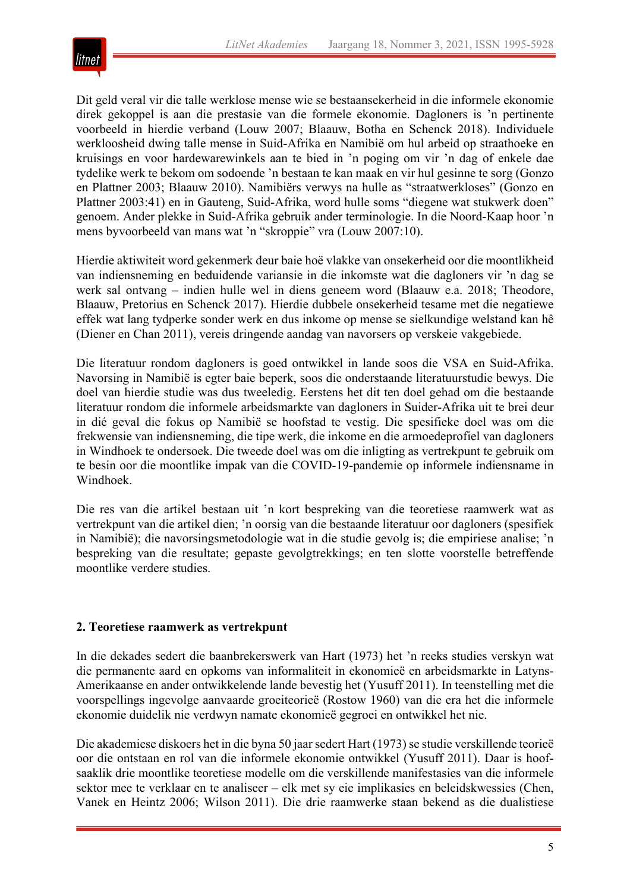

Dit geld veral vir die talle werklose mense wie se bestaansekerheid in die informele ekonomie direk gekoppel is aan die prestasie van die formele ekonomie. Dagloners is 'n pertinente voorbeeld in hierdie verband (Louw 2007; Blaauw, Botha en Schenck 2018). Individuele werkloosheid dwing talle mense in Suid-Afrika en Namibië om hul arbeid op straathoeke en kruisings en voor hardewarewinkels aan te bied in 'n poging om vir 'n dag of enkele dae tydelike werk te bekom om sodoende 'n bestaan te kan maak en vir hul gesinne te sorg (Gonzo en Plattner 2003; Blaauw 2010). Namibiërs verwys na hulle as "straatwerkloses" (Gonzo en Plattner 2003:41) en in Gauteng, Suid-Afrika, word hulle soms "diegene wat stukwerk doen" genoem. Ander plekke in Suid-Afrika gebruik ander terminologie. In die Noord-Kaap hoor 'n mens byvoorbeeld van mans wat 'n "skroppie" vra (Louw 2007:10).

Hierdie aktiwiteit word gekenmerk deur baie hoë vlakke van onsekerheid oor die moontlikheid van indiensneming en beduidende variansie in die inkomste wat die dagloners vir 'n dag se werk sal ontvang – indien hulle wel in diens geneem word (Blaauw e.a. 2018; Theodore, Blaauw, Pretorius en Schenck 2017). Hierdie dubbele onsekerheid tesame met die negatiewe effek wat lang tydperke sonder werk en dus inkome op mense se sielkundige welstand kan hê (Diener en Chan 2011), vereis dringende aandag van navorsers op verskeie vakgebiede.

Die literatuur rondom dagloners is goed ontwikkel in lande soos die VSA en Suid-Afrika. Navorsing in Namibië is egter baie beperk, soos die onderstaande literatuurstudie bewys. Die doel van hierdie studie was dus tweeledig. Eerstens het dit ten doel gehad om die bestaande literatuur rondom die informele arbeidsmarkte van dagloners in Suider-Afrika uit te brei deur in dié geval die fokus op Namibië se hoofstad te vestig. Die spesifieke doel was om die frekwensie van indiensneming, die tipe werk, die inkome en die armoedeprofiel van dagloners in Windhoek te ondersoek. Die tweede doel was om die inligting as vertrekpunt te gebruik om te besin oor die moontlike impak van die COVID-19-pandemie op informele indiensname in Windhoek.

Die res van die artikel bestaan uit 'n kort bespreking van die teoretiese raamwerk wat as vertrekpunt van die artikel dien; 'n oorsig van die bestaande literatuur oor dagloners (spesifiek in Namibië); die navorsingsmetodologie wat in die studie gevolg is; die empiriese analise; 'n bespreking van die resultate; gepaste gevolgtrekkings; en ten slotte voorstelle betreffende moontlike verdere studies.

#### **2. Teoretiese raamwerk as vertrekpunt**

In die dekades sedert die baanbrekerswerk van Hart (1973) het 'n reeks studies verskyn wat die permanente aard en opkoms van informaliteit in ekonomieë en arbeidsmarkte in Latyns-Amerikaanse en ander ontwikkelende lande bevestig het (Yusuff 2011). In teenstelling met die voorspellings ingevolge aanvaarde groeiteorieë (Rostow 1960) van die era het die informele ekonomie duidelik nie verdwyn namate ekonomieë gegroei en ontwikkel het nie.

Die akademiese diskoers het in die byna 50 jaar sedert Hart (1973) se studie verskillende teorieë oor die ontstaan en rol van die informele ekonomie ontwikkel (Yusuff 2011). Daar is hoofsaaklik drie moontlike teoretiese modelle om die verskillende manifestasies van die informele sektor mee te verklaar en te analiseer – elk met sy eie implikasies en beleidskwessies (Chen, Vanek en Heintz 2006; Wilson 2011). Die drie raamwerke staan bekend as die dualistiese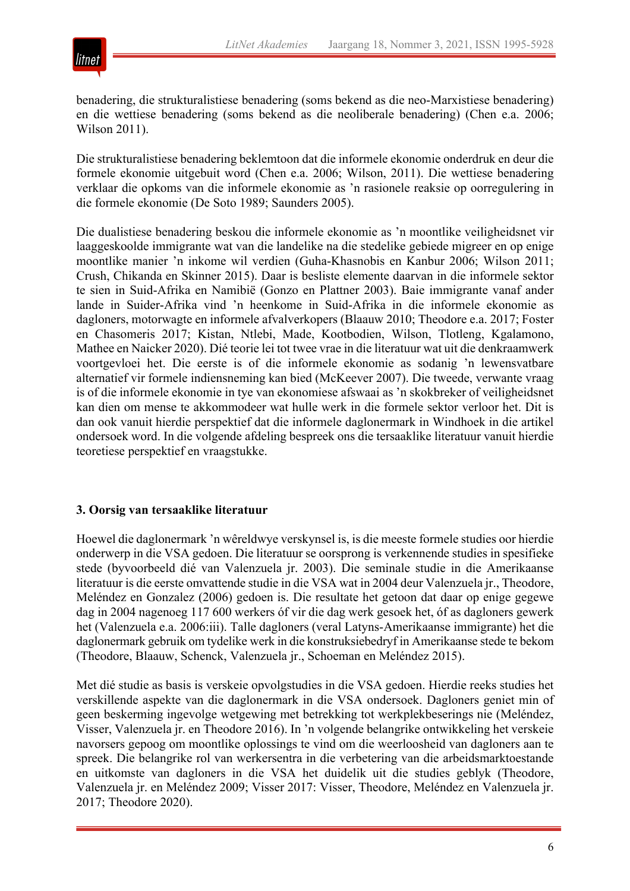

benadering, die strukturalistiese benadering (soms bekend as die neo-Marxistiese benadering) en die wettiese benadering (soms bekend as die neoliberale benadering) (Chen e.a. 2006; Wilson 2011).

Die strukturalistiese benadering beklemtoon dat die informele ekonomie onderdruk en deur die formele ekonomie uitgebuit word (Chen e.a. 2006; Wilson, 2011). Die wettiese benadering verklaar die opkoms van die informele ekonomie as 'n rasionele reaksie op oorregulering in die formele ekonomie (De Soto 1989; Saunders 2005).

Die dualistiese benadering beskou die informele ekonomie as 'n moontlike veiligheidsnet vir laaggeskoolde immigrante wat van die landelike na die stedelike gebiede migreer en op enige moontlike manier 'n inkome wil verdien (Guha-Khasnobis en Kanbur 2006; Wilson 2011; Crush, Chikanda en Skinner 2015). Daar is besliste elemente daarvan in die informele sektor te sien in Suid-Afrika en Namibië (Gonzo en Plattner 2003). Baie immigrante vanaf ander lande in Suider-Afrika vind 'n heenkome in Suid-Afrika in die informele ekonomie as dagloners, motorwagte en informele afvalverkopers (Blaauw 2010; Theodore e.a. 2017; Foster en Chasomeris 2017; Kistan, Ntlebi, Made, Kootbodien, Wilson, Tlotleng, Kgalamono, Mathee en Naicker 2020). Dié teorie lei tot twee vrae in die literatuur wat uit die denkraamwerk voortgevloei het. Die eerste is of die informele ekonomie as sodanig 'n lewensvatbare alternatief vir formele indiensneming kan bied (McKeever 2007). Die tweede, verwante vraag is of die informele ekonomie in tye van ekonomiese afswaai as 'n skokbreker of veiligheidsnet kan dien om mense te akkommodeer wat hulle werk in die formele sektor verloor het. Dit is dan ook vanuit hierdie perspektief dat die informele daglonermark in Windhoek in die artikel ondersoek word. In die volgende afdeling bespreek ons die tersaaklike literatuur vanuit hierdie teoretiese perspektief en vraagstukke.

#### **3. Oorsig van tersaaklike literatuur**

Hoewel die daglonermark 'n wêreldwye verskynsel is, is die meeste formele studies oor hierdie onderwerp in die VSA gedoen. Die literatuur se oorsprong is verkennende studies in spesifieke stede (byvoorbeeld dié van Valenzuela jr. 2003). Die seminale studie in die Amerikaanse literatuur is die eerste omvattende studie in die VSA wat in 2004 deur Valenzuela jr., Theodore, Meléndez en Gonzalez (2006) gedoen is. Die resultate het getoon dat daar op enige gegewe dag in 2004 nagenoeg 117 600 werkers óf vir die dag werk gesoek het, óf as dagloners gewerk het (Valenzuela e.a. 2006:iii). Talle dagloners (veral Latyns-Amerikaanse immigrante) het die daglonermark gebruik om tydelike werk in die konstruksiebedryf in Amerikaanse stede te bekom (Theodore, Blaauw, Schenck, Valenzuela jr., Schoeman en Meléndez 2015).

Met dié studie as basis is verskeie opvolgstudies in die VSA gedoen. Hierdie reeks studies het verskillende aspekte van die daglonermark in die VSA ondersoek. Dagloners geniet min of geen beskerming ingevolge wetgewing met betrekking tot werkplekbeserings nie (Meléndez, Visser, Valenzuela jr. en Theodore 2016). In 'n volgende belangrike ontwikkeling het verskeie navorsers gepoog om moontlike oplossings te vind om die weerloosheid van dagloners aan te spreek. Die belangrike rol van werkersentra in die verbetering van die arbeidsmarktoestande en uitkomste van dagloners in die VSA het duidelik uit die studies geblyk (Theodore, Valenzuela jr. en Meléndez 2009; Visser 2017: Visser, Theodore, Meléndez en Valenzuela jr. 2017; Theodore 2020).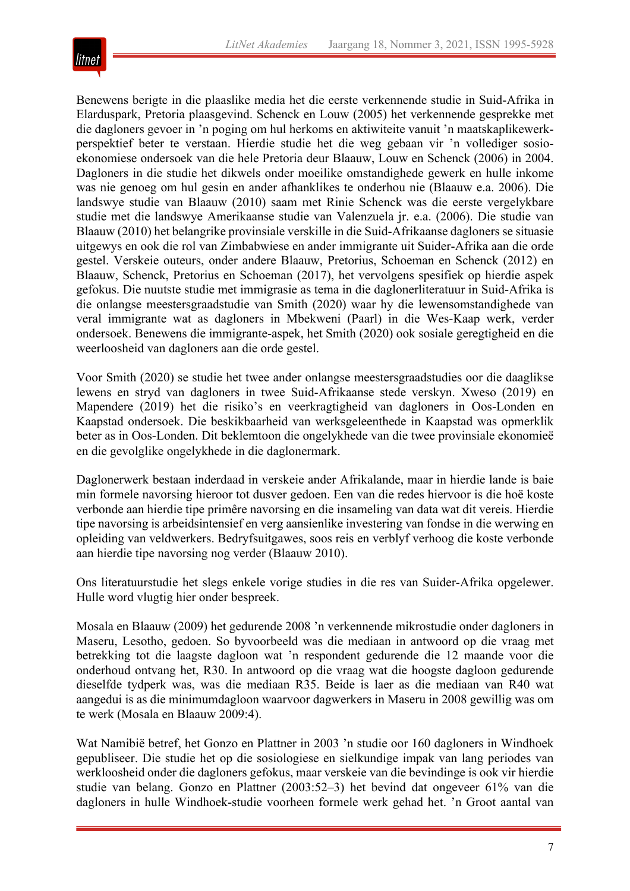

Benewens berigte in die plaaslike media het die eerste verkennende studie in Suid-Afrika in Elarduspark, Pretoria plaasgevind. Schenck en Louw (2005) het verkennende gesprekke met die dagloners gevoer in 'n poging om hul herkoms en aktiwiteite vanuit 'n maatskaplikewerkperspektief beter te verstaan. Hierdie studie het die weg gebaan vir 'n vollediger sosioekonomiese ondersoek van die hele Pretoria deur Blaauw, Louw en Schenck (2006) in 2004. Dagloners in die studie het dikwels onder moeilike omstandighede gewerk en hulle inkome was nie genoeg om hul gesin en ander afhanklikes te onderhou nie (Blaauw e.a. 2006). Die landswye studie van Blaauw (2010) saam met Rinie Schenck was die eerste vergelykbare studie met die landswye Amerikaanse studie van Valenzuela jr. e.a. (2006). Die studie van Blaauw (2010) het belangrike provinsiale verskille in die Suid-Afrikaanse dagloners se situasie uitgewys en ook die rol van Zimbabwiese en ander immigrante uit Suider-Afrika aan die orde gestel. Verskeie outeurs, onder andere Blaauw, Pretorius, Schoeman en Schenck (2012) en Blaauw, Schenck, Pretorius en Schoeman (2017), het vervolgens spesifiek op hierdie aspek gefokus. Die nuutste studie met immigrasie as tema in die daglonerliteratuur in Suid-Afrika is die onlangse meestersgraadstudie van Smith (2020) waar hy die lewensomstandighede van veral immigrante wat as dagloners in Mbekweni (Paarl) in die Wes-Kaap werk, verder ondersoek. Benewens die immigrante-aspek, het Smith (2020) ook sosiale geregtigheid en die weerloosheid van dagloners aan die orde gestel.

Voor Smith (2020) se studie het twee ander onlangse meestersgraadstudies oor die daaglikse lewens en stryd van dagloners in twee Suid-Afrikaanse stede verskyn. Xweso (2019) en Mapendere (2019) het die risiko's en veerkragtigheid van dagloners in Oos-Londen en Kaapstad ondersoek. Die beskikbaarheid van werksgeleenthede in Kaapstad was opmerklik beter as in Oos-Londen. Dit beklemtoon die ongelykhede van die twee provinsiale ekonomieë en die gevolglike ongelykhede in die daglonermark.

Daglonerwerk bestaan inderdaad in verskeie ander Afrikalande, maar in hierdie lande is baie min formele navorsing hieroor tot dusver gedoen. Een van die redes hiervoor is die hoë koste verbonde aan hierdie tipe primêre navorsing en die insameling van data wat dit vereis. Hierdie tipe navorsing is arbeidsintensief en verg aansienlike investering van fondse in die werwing en opleiding van veldwerkers. Bedryfsuitgawes, soos reis en verblyf verhoog die koste verbonde aan hierdie tipe navorsing nog verder (Blaauw 2010).

Ons literatuurstudie het slegs enkele vorige studies in die res van Suider-Afrika opgelewer. Hulle word vlugtig hier onder bespreek.

Mosala en Blaauw (2009) het gedurende 2008 'n verkennende mikrostudie onder dagloners in Maseru, Lesotho, gedoen. So byvoorbeeld was die mediaan in antwoord op die vraag met betrekking tot die laagste dagloon wat 'n respondent gedurende die 12 maande voor die onderhoud ontvang het, R30. In antwoord op die vraag wat die hoogste dagloon gedurende dieselfde tydperk was, was die mediaan R35. Beide is laer as die mediaan van R40 wat aangedui is as die minimumdagloon waarvoor dagwerkers in Maseru in 2008 gewillig was om te werk (Mosala en Blaauw 2009:4).

Wat Namibië betref, het Gonzo en Plattner in 2003 'n studie oor 160 dagloners in Windhoek gepubliseer. Die studie het op die sosiologiese en sielkundige impak van lang periodes van werkloosheid onder die dagloners gefokus, maar verskeie van die bevindinge is ook vir hierdie studie van belang. Gonzo en Plattner (2003:52–3) het bevind dat ongeveer 61% van die dagloners in hulle Windhoek-studie voorheen formele werk gehad het. 'n Groot aantal van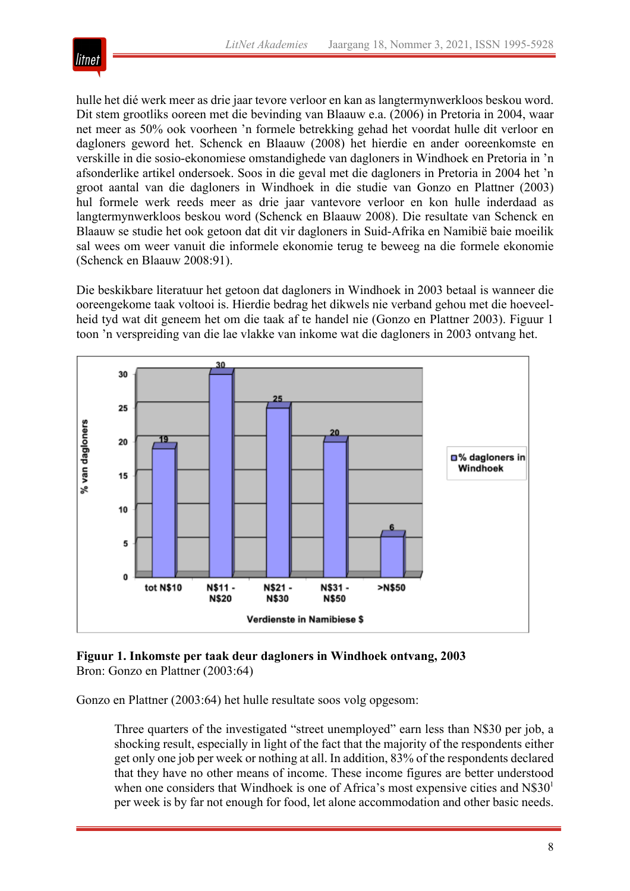

hulle het dié werk meer as drie jaar tevore verloor en kan as langtermynwerkloos beskou word. Dit stem grootliks ooreen met die bevinding van Blaauw e.a. (2006) in Pretoria in 2004, waar net meer as 50% ook voorheen 'n formele betrekking gehad het voordat hulle dit verloor en dagloners geword het. Schenck en Blaauw (2008) het hierdie en ander ooreenkomste en verskille in die sosio-ekonomiese omstandighede van dagloners in Windhoek en Pretoria in 'n afsonderlike artikel ondersoek. Soos in die geval met die dagloners in Pretoria in 2004 het 'n groot aantal van die dagloners in Windhoek in die studie van Gonzo en Plattner (2003) hul formele werk reeds meer as drie jaar vantevore verloor en kon hulle inderdaad as langtermynwerkloos beskou word (Schenck en Blaauw 2008). Die resultate van Schenck en Blaauw se studie het ook getoon dat dit vir dagloners in Suid-Afrika en Namibië baie moeilik sal wees om weer vanuit die informele ekonomie terug te beweeg na die formele ekonomie (Schenck en Blaauw 2008:91).

Die beskikbare literatuur het getoon dat dagloners in Windhoek in 2003 betaal is wanneer die ooreengekome taak voltooi is. Hierdie bedrag het dikwels nie verband gehou met die hoeveelheid tyd wat dit geneem het om die taak af te handel nie (Gonzo en Plattner 2003). Figuur 1 toon 'n verspreiding van die lae vlakke van inkome wat die dagloners in 2003 ontvang het.



**Figuur 1. Inkomste per taak deur dagloners in Windhoek ontvang, 2003** Bron: Gonzo en Plattner (2003:64)

Gonzo en Plattner (2003:64) het hulle resultate soos volg opgesom:

Three quarters of the investigated "street unemployed" earn less than N\$30 per job, a shocking result, especially in light of the fact that the majority of the respondents either get only one job per week or nothing at all. In addition, 83% of the respondents declared that they have no other means of income. These income figures are better understood when one considers that Windhoek is one of Africa's most expensive cities and  $N\$30<sup>1</sup>$ per week is by far not enough for food, let alone accommodation and other basic needs.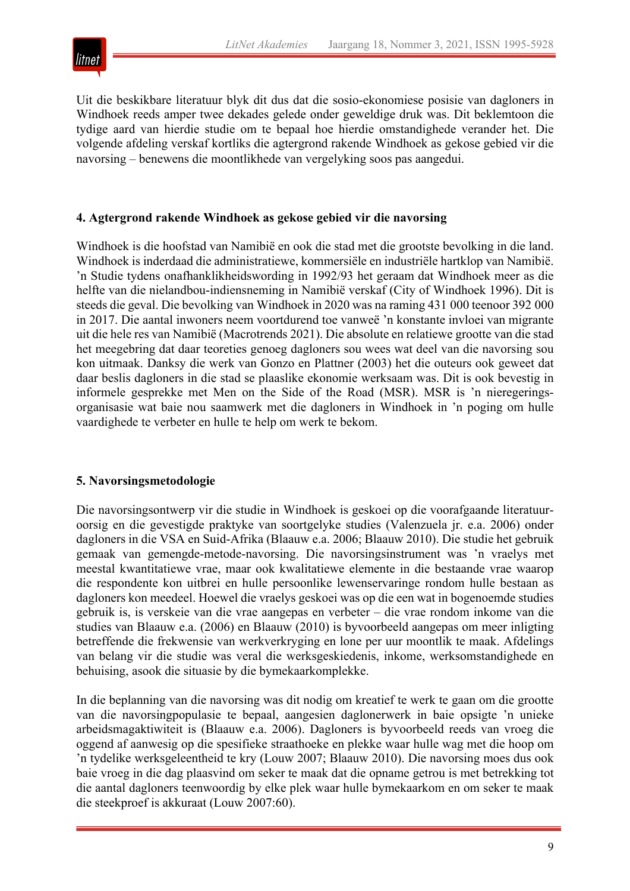

Uit die beskikbare literatuur blyk dit dus dat die sosio-ekonomiese posisie van dagloners in Windhoek reeds amper twee dekades gelede onder geweldige druk was. Dit beklemtoon die tydige aard van hierdie studie om te bepaal hoe hierdie omstandighede verander het. Die volgende afdeling verskaf kortliks die agtergrond rakende Windhoek as gekose gebied vir die navorsing – benewens die moontlikhede van vergelyking soos pas aangedui.

#### **4. Agtergrond rakende Windhoek as gekose gebied vir die navorsing**

Windhoek is die hoofstad van Namibië en ook die stad met die grootste bevolking in die land. Windhoek is inderdaad die administratiewe, kommersiële en industriële hartklop van Namibië. 'n Studie tydens onafhanklikheidswording in 1992/93 het geraam dat Windhoek meer as die helfte van die nielandbou-indiensneming in Namibië verskaf (City of Windhoek 1996). Dit is steeds die geval. Die bevolking van Windhoek in 2020 was na raming 431 000 teenoor 392 000 in 2017. Die aantal inwoners neem voortdurend toe vanweë 'n konstante invloei van migrante uit die hele res van Namibië (Macrotrends 2021). Die absolute en relatiewe grootte van die stad het meegebring dat daar teoreties genoeg dagloners sou wees wat deel van die navorsing sou kon uitmaak. Danksy die werk van Gonzo en Plattner (2003) het die outeurs ook geweet dat daar beslis dagloners in die stad se plaaslike ekonomie werksaam was. Dit is ook bevestig in informele gesprekke met Men on the Side of the Road (MSR). MSR is 'n nieregeringsorganisasie wat baie nou saamwerk met die dagloners in Windhoek in 'n poging om hulle vaardighede te verbeter en hulle te help om werk te bekom.

#### **5. Navorsingsmetodologie**

Die navorsingsontwerp vir die studie in Windhoek is geskoei op die voorafgaande literatuuroorsig en die gevestigde praktyke van soortgelyke studies (Valenzuela jr. e.a. 2006) onder dagloners in die VSA en Suid-Afrika (Blaauw e.a. 2006; Blaauw 2010). Die studie het gebruik gemaak van gemengde-metode-navorsing. Die navorsingsinstrument was 'n vraelys met meestal kwantitatiewe vrae, maar ook kwalitatiewe elemente in die bestaande vrae waarop die respondente kon uitbrei en hulle persoonlike lewenservaringe rondom hulle bestaan as dagloners kon meedeel. Hoewel die vraelys geskoei was op die een wat in bogenoemde studies gebruik is, is verskeie van die vrae aangepas en verbeter – die vrae rondom inkome van die studies van Blaauw e.a. (2006) en Blaauw (2010) is byvoorbeeld aangepas om meer inligting betreffende die frekwensie van werkverkryging en lone per uur moontlik te maak. Afdelings van belang vir die studie was veral die werksgeskiedenis, inkome, werksomstandighede en behuising, asook die situasie by die bymekaarkomplekke.

In die beplanning van die navorsing was dit nodig om kreatief te werk te gaan om die grootte van die navorsingpopulasie te bepaal, aangesien daglonerwerk in baie opsigte 'n unieke arbeidsmagaktiwiteit is (Blaauw e.a. 2006). Dagloners is byvoorbeeld reeds van vroeg die oggend af aanwesig op die spesifieke straathoeke en plekke waar hulle wag met die hoop om 'n tydelike werksgeleentheid te kry (Louw 2007; Blaauw 2010). Die navorsing moes dus ook baie vroeg in die dag plaasvind om seker te maak dat die opname getrou is met betrekking tot die aantal dagloners teenwoordig by elke plek waar hulle bymekaarkom en om seker te maak die steekproef is akkuraat (Louw 2007:60).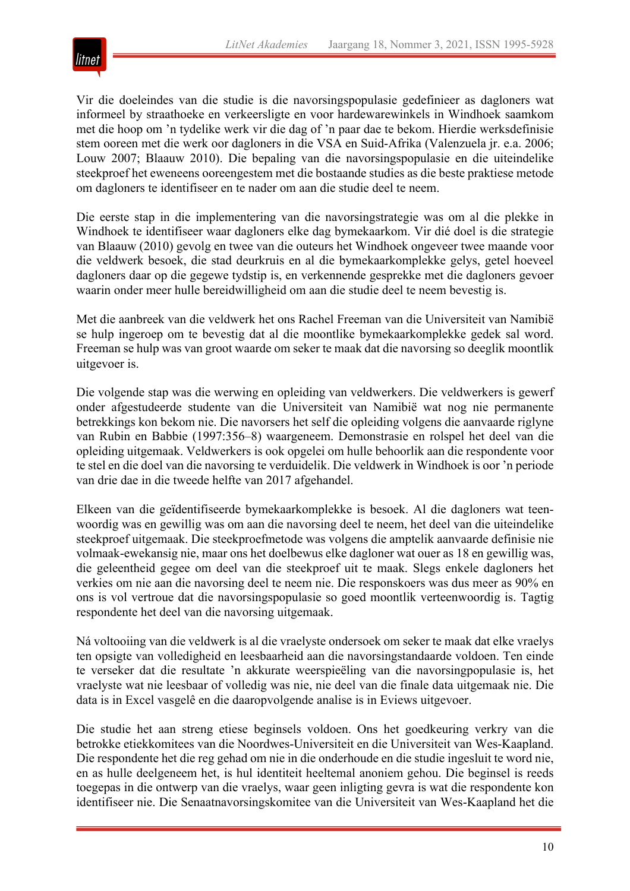

Vir die doeleindes van die studie is die navorsingspopulasie gedefinieer as dagloners wat informeel by straathoeke en verkeersligte en voor hardewarewinkels in Windhoek saamkom met die hoop om 'n tydelike werk vir die dag of 'n paar dae te bekom. Hierdie werksdefinisie stem ooreen met die werk oor dagloners in die VSA en Suid-Afrika (Valenzuela jr. e.a. 2006; Louw 2007; Blaauw 2010). Die bepaling van die navorsingspopulasie en die uiteindelike steekproef het eweneens ooreengestem met die bostaande studies as die beste praktiese metode om dagloners te identifiseer en te nader om aan die studie deel te neem.

Die eerste stap in die implementering van die navorsingstrategie was om al die plekke in Windhoek te identifiseer waar dagloners elke dag bymekaarkom. Vir dié doel is die strategie van Blaauw (2010) gevolg en twee van die outeurs het Windhoek ongeveer twee maande voor die veldwerk besoek, die stad deurkruis en al die bymekaarkomplekke gelys, getel hoeveel dagloners daar op die gegewe tydstip is, en verkennende gesprekke met die dagloners gevoer waarin onder meer hulle bereidwilligheid om aan die studie deel te neem bevestig is.

Met die aanbreek van die veldwerk het ons Rachel Freeman van die Universiteit van Namibië se hulp ingeroep om te bevestig dat al die moontlike bymekaarkomplekke gedek sal word. Freeman se hulp was van groot waarde om seker te maak dat die navorsing so deeglik moontlik uitgevoer is.

Die volgende stap was die werwing en opleiding van veldwerkers. Die veldwerkers is gewerf onder afgestudeerde studente van die Universiteit van Namibië wat nog nie permanente betrekkings kon bekom nie. Die navorsers het self die opleiding volgens die aanvaarde riglyne van Rubin en Babbie (1997:356–8) waargeneem. Demonstrasie en rolspel het deel van die opleiding uitgemaak. Veldwerkers is ook opgelei om hulle behoorlik aan die respondente voor te stel en die doel van die navorsing te verduidelik. Die veldwerk in Windhoek is oor 'n periode van drie dae in die tweede helfte van 2017 afgehandel.

Elkeen van die geïdentifiseerde bymekaarkomplekke is besoek. Al die dagloners wat teenwoordig was en gewillig was om aan die navorsing deel te neem, het deel van die uiteindelike steekproef uitgemaak. Die steekproefmetode was volgens die amptelik aanvaarde definisie nie volmaak-ewekansig nie, maar ons het doelbewus elke dagloner wat ouer as 18 en gewillig was, die geleentheid gegee om deel van die steekproef uit te maak. Slegs enkele dagloners het verkies om nie aan die navorsing deel te neem nie. Die responskoers was dus meer as 90% en ons is vol vertroue dat die navorsingspopulasie so goed moontlik verteenwoordig is. Tagtig respondente het deel van die navorsing uitgemaak.

Ná voltooiing van die veldwerk is al die vraelyste ondersoek om seker te maak dat elke vraelys ten opsigte van volledigheid en leesbaarheid aan die navorsingstandaarde voldoen. Ten einde te verseker dat die resultate 'n akkurate weerspieëling van die navorsingpopulasie is, het vraelyste wat nie leesbaar of volledig was nie, nie deel van die finale data uitgemaak nie. Die data is in Excel vasgelê en die daaropvolgende analise is in Eviews uitgevoer.

Die studie het aan streng etiese beginsels voldoen. Ons het goedkeuring verkry van die betrokke etiekkomitees van die Noordwes-Universiteit en die Universiteit van Wes-Kaapland. Die respondente het die reg gehad om nie in die onderhoude en die studie ingesluit te word nie, en as hulle deelgeneem het, is hul identiteit heeltemal anoniem gehou. Die beginsel is reeds toegepas in die ontwerp van die vraelys, waar geen inligting gevra is wat die respondente kon identifiseer nie. Die Senaatnavorsingskomitee van die Universiteit van Wes-Kaapland het die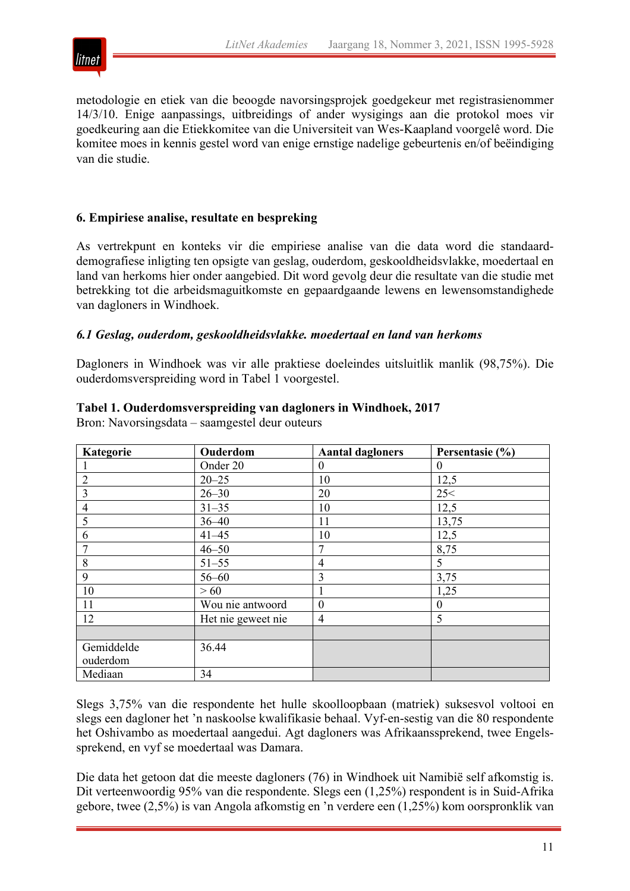

metodologie en etiek van die beoogde navorsingsprojek goedgekeur met registrasienommer 14/3/10. Enige aanpassings, uitbreidings of ander wysigings aan die protokol moes vir goedkeuring aan die Etiekkomitee van die Universiteit van Wes-Kaapland voorgelê word. Die komitee moes in kennis gestel word van enige ernstige nadelige gebeurtenis en/of beëindiging van die studie.

# **6. Empiriese analise, resultate en bespreking**

As vertrekpunt en konteks vir die empiriese analise van die data word die standaarddemografiese inligting ten opsigte van geslag, ouderdom, geskooldheidsvlakke, moedertaal en land van herkoms hier onder aangebied. Dit word gevolg deur die resultate van die studie met betrekking tot die arbeidsmaguitkomste en gepaardgaande lewens en lewensomstandighede van dagloners in Windhoek.

#### *6.1 Geslag, ouderdom, geskooldheidsvlakke. moedertaal en land van herkoms*

Dagloners in Windhoek was vir alle praktiese doeleindes uitsluitlik manlik (98,75%). Die ouderdomsverspreiding word in Tabel 1 voorgestel.

#### **Tabel 1. Ouderdomsverspreiding van dagloners in Windhoek, 2017**

Bron: Navorsingsdata – saamgestel deur outeurs

| Kategorie      | Ouderdom           | <b>Aantal dagloners</b> | Persentasie (%) |
|----------------|--------------------|-------------------------|-----------------|
|                | Onder 20           | $\theta$                | $\Omega$        |
| 2              | $20 - 25$          | 10                      | 12,5            |
| 3              | $26 - 30$          | 20                      | 25<             |
| $\overline{4}$ | $31 - 35$          | 10                      | 12,5            |
| 5              | $36 - 40$          | 11                      | 13,75           |
| 6              | $41 - 45$          | 10                      | 12,5            |
|                | $46 - 50$          | 7                       | 8,75            |
| 8              | $51 - 55$          | 4                       | 5               |
| 9              | $56 - 60$          | 3                       | 3,75            |
| 10             | >60                |                         | 1,25            |
| 11             | Wou nie antwoord   | $\overline{0}$          | $\Omega$        |
| 12             | Het nie geweet nie | 4                       | 5               |
|                |                    |                         |                 |
| Gemiddelde     | 36.44              |                         |                 |
| ouderdom       |                    |                         |                 |
| Mediaan        | 34                 |                         |                 |

Slegs 3,75% van die respondente het hulle skoolloopbaan (matriek) suksesvol voltooi en slegs een dagloner het 'n naskoolse kwalifikasie behaal. Vyf-en-sestig van die 80 respondente het Oshivambo as moedertaal aangedui. Agt dagloners was Afrikaanssprekend, twee Engelssprekend, en vyf se moedertaal was Damara.

Die data het getoon dat die meeste dagloners (76) in Windhoek uit Namibië self afkomstig is. Dit verteenwoordig 95% van die respondente. Slegs een (1,25%) respondent is in Suid-Afrika gebore, twee (2,5%) is van Angola afkomstig en 'n verdere een (1,25%) kom oorspronklik van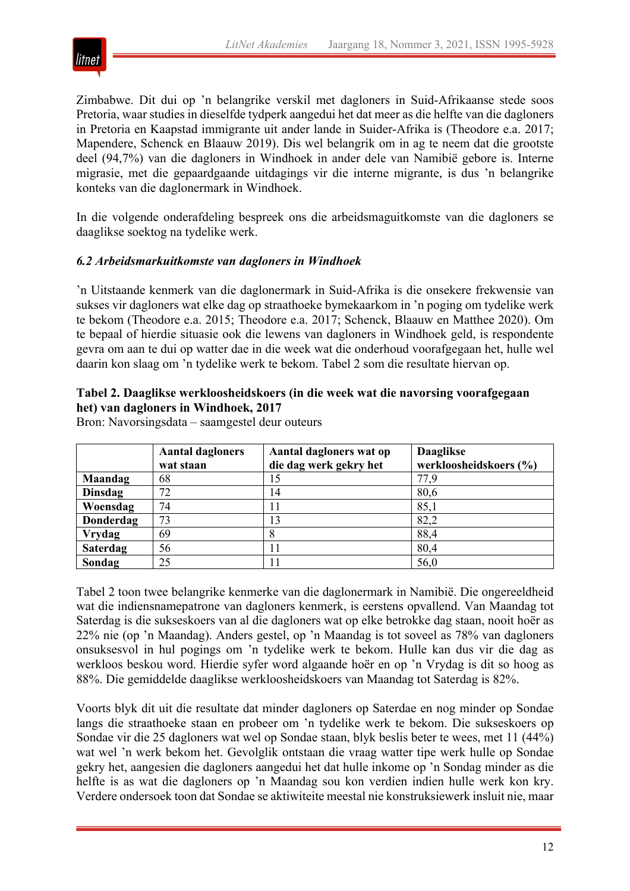

Zimbabwe. Dit dui op 'n belangrike verskil met dagloners in Suid-Afrikaanse stede soos Pretoria, waar studies in dieselfde tydperk aangedui het dat meer as die helfte van die dagloners in Pretoria en Kaapstad immigrante uit ander lande in Suider-Afrika is (Theodore e.a. 2017; Mapendere, Schenck en Blaauw 2019). Dis wel belangrik om in ag te neem dat die grootste deel (94,7%) van die dagloners in Windhoek in ander dele van Namibië gebore is. Interne migrasie, met die gepaardgaande uitdagings vir die interne migrante, is dus 'n belangrike konteks van die daglonermark in Windhoek.

In die volgende onderafdeling bespreek ons die arbeidsmaguitkomste van die dagloners se daaglikse soektog na tydelike werk.

#### *6.2 Arbeidsmarkuitkomste van dagloners in Windhoek*

'n Uitstaande kenmerk van die daglonermark in Suid-Afrika is die onsekere frekwensie van sukses vir dagloners wat elke dag op straathoeke bymekaarkom in 'n poging om tydelike werk te bekom (Theodore e.a. 2015; Theodore e.a. 2017; Schenck, Blaauw en Matthee 2020). Om te bepaal of hierdie situasie ook die lewens van dagloners in Windhoek geld, is respondente gevra om aan te dui op watter dae in die week wat die onderhoud voorafgegaan het, hulle wel daarin kon slaag om 'n tydelike werk te bekom. Tabel 2 som die resultate hiervan op.

#### **Tabel 2. Daaglikse werkloosheidskoers (in die week wat die navorsing voorafgegaan het) van dagloners in Windhoek, 2017**

Bron: Navorsingsdata – saamgestel deur outeurs

|                 | <b>Aantal dagloners</b> | Aantal dagloners wat op | <b>Daaglikse</b>       |  |  |
|-----------------|-------------------------|-------------------------|------------------------|--|--|
|                 | wat staan               | die dag werk gekry het  | werkloosheidskoers (%) |  |  |
| <b>Maandag</b>  | 68                      |                         | 77,9                   |  |  |
| Dinsdag         | 72                      | 14                      | 80,6                   |  |  |
| Woensdag        | 74                      |                         | 85,1                   |  |  |
| Donderdag       | 73                      | 13                      | 82,2                   |  |  |
| <b>Vrydag</b>   | 69                      |                         | 88,4                   |  |  |
| <b>Saterdag</b> | 56                      |                         | 80,4                   |  |  |
| Sondag          | 25                      |                         | 56,0                   |  |  |

Tabel 2 toon twee belangrike kenmerke van die daglonermark in Namibië. Die ongereeldheid wat die indiensnamepatrone van dagloners kenmerk, is eerstens opvallend. Van Maandag tot Saterdag is die sukseskoers van al die dagloners wat op elke betrokke dag staan, nooit hoër as 22% nie (op 'n Maandag). Anders gestel, op 'n Maandag is tot soveel as 78% van dagloners onsuksesvol in hul pogings om 'n tydelike werk te bekom. Hulle kan dus vir die dag as werkloos beskou word. Hierdie syfer word algaande hoër en op 'n Vrydag is dit so hoog as 88%. Die gemiddelde daaglikse werkloosheidskoers van Maandag tot Saterdag is 82%.

Voorts blyk dit uit die resultate dat minder dagloners op Saterdae en nog minder op Sondae langs die straathoeke staan en probeer om 'n tydelike werk te bekom. Die sukseskoers op Sondae vir die 25 dagloners wat wel op Sondae staan, blyk beslis beter te wees, met 11 (44%) wat wel 'n werk bekom het. Gevolglik ontstaan die vraag watter tipe werk hulle op Sondae gekry het, aangesien die dagloners aangedui het dat hulle inkome op 'n Sondag minder as die helfte is as wat die dagloners op 'n Maandag sou kon verdien indien hulle werk kon kry. Verdere ondersoek toon dat Sondae se aktiwiteite meestal nie konstruksiewerk insluit nie, maar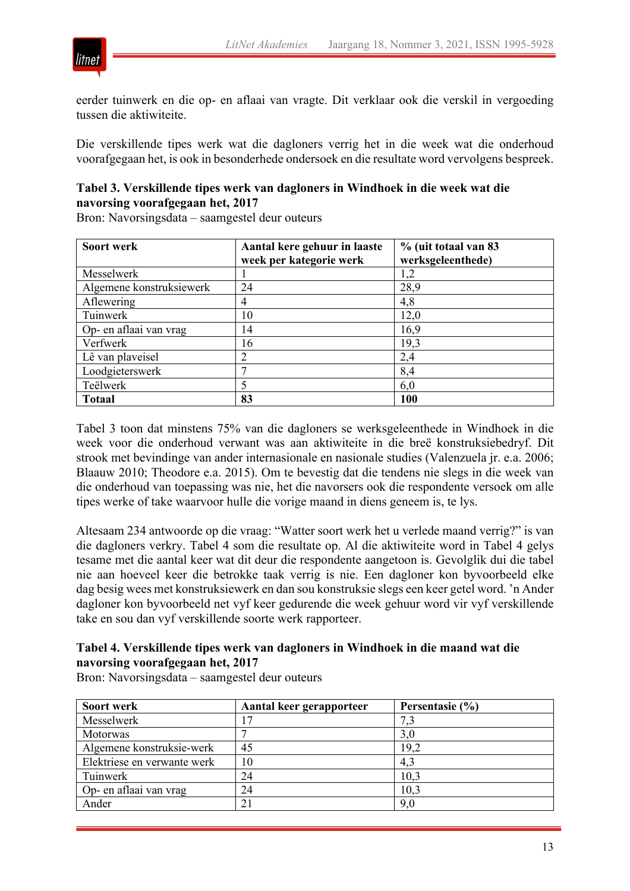

eerder tuinwerk en die op- en aflaai van vragte. Dit verklaar ook die verskil in vergoeding tussen die aktiwiteite.

Die verskillende tipes werk wat die dagloners verrig het in die week wat die onderhoud voorafgegaan het, is ook in besonderhede ondersoek en die resultate word vervolgens bespreek.

# **Tabel 3. Verskillende tipes werk van dagloners in Windhoek in die week wat die navorsing voorafgegaan het, 2017**

Bron: Navorsingsdata – saamgestel deur outeurs

| Soort werk               | Aantal kere gehuur in laaste | % (uit totaal van 83 |
|--------------------------|------------------------------|----------------------|
|                          | week per kategorie werk      | werksgeleenthede)    |
| Messelwerk               |                              | 1,2                  |
| Algemene konstruksiewerk | 24                           | 28,9                 |
| Aflewering               | 4                            | 4,8                  |
| Tuinwerk                 | 10                           | 12,0                 |
| Op- en aflaai van vrag   | 14                           | 16,9                 |
| Verfwerk                 | 16                           | 19,3                 |
| Lê van plaveisel         | 2                            | 2,4                  |
| Loodgieterswerk          |                              | 8,4                  |
| Teëlwerk                 | 5                            | 6,0                  |
| <b>Totaal</b>            | 83                           | 100                  |

Tabel 3 toon dat minstens 75% van die dagloners se werksgeleenthede in Windhoek in die week voor die onderhoud verwant was aan aktiwiteite in die breë konstruksiebedryf. Dit strook met bevindinge van ander internasionale en nasionale studies (Valenzuela jr. e.a. 2006; Blaauw 2010; Theodore e.a. 2015). Om te bevestig dat die tendens nie slegs in die week van die onderhoud van toepassing was nie, het die navorsers ook die respondente versoek om alle tipes werke of take waarvoor hulle die vorige maand in diens geneem is, te lys.

Altesaam 234 antwoorde op die vraag: "Watter soort werk het u verlede maand verrig?" is van die dagloners verkry. Tabel 4 som die resultate op. Al die aktiwiteite word in Tabel 4 gelys tesame met die aantal keer wat dit deur die respondente aangetoon is. Gevolglik dui die tabel nie aan hoeveel keer die betrokke taak verrig is nie. Een dagloner kon byvoorbeeld elke dag besig wees met konstruksiewerk en dan sou konstruksie slegs een keer getel word. 'n Ander dagloner kon byvoorbeeld net vyf keer gedurende die week gehuur word vir vyf verskillende take en sou dan vyf verskillende soorte werk rapporteer.

#### **Tabel 4. Verskillende tipes werk van dagloners in Windhoek in die maand wat die navorsing voorafgegaan het, 2017**

Bron: Navorsingsdata – saamgestel deur outeurs

| Soort werk                  | Aantal keer gerapporteer | Persentasie (%) |
|-----------------------------|--------------------------|-----------------|
| Messelwerk                  |                          | 7,3             |
| <b>Motorwas</b>             |                          | 3,0             |
| Algemene konstruksie-werk   | 45                       | 19,2            |
| Elektriese en verwante werk | 10                       | 4,3             |
| Tuinwerk                    | 24                       | 10,3            |
| Op- en aflaai van vrag      | 24                       | 10,3            |
| Ander                       | 21                       | 9,0             |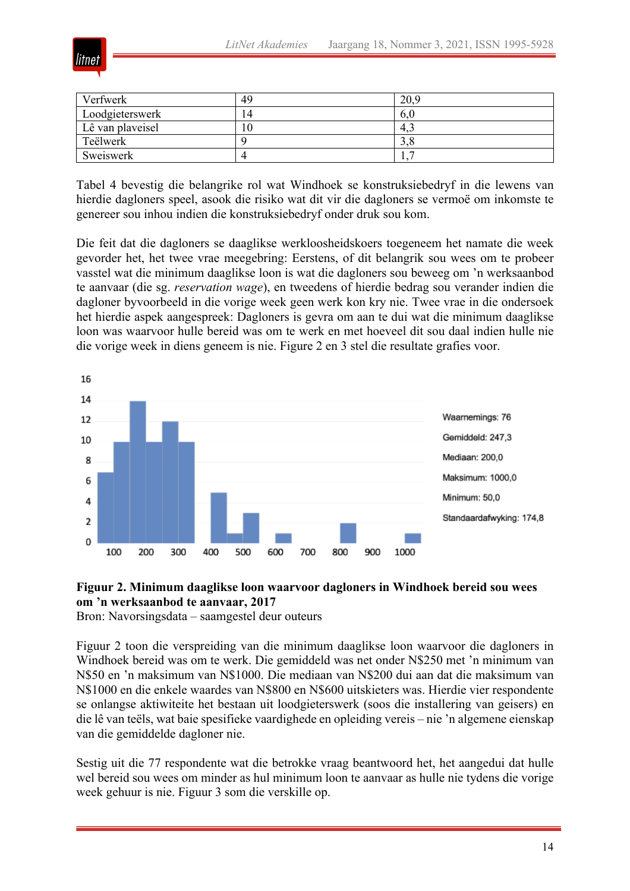

| Verfwerk         | 49 | 20,9 |
|------------------|----|------|
| Loodgieterswerk  |    | o.u  |
| Lê van plaveisel | 10 | 4.1  |
| Teëlwerk         |    | J.C  |
| Sweiswerk        |    | . .  |

Tabel 4 bevestig die belangrike rol wat Windhoek se konstruksiebedryf in die lewens van hierdie dagloners speel, asook die risiko wat dit vir die dagloners se vermoë om inkomste te genereer sou inhou indien die konstruksiebedryf onder druk sou kom.

Die feit dat die dagloners se daaglikse werkloosheidskoers toegeneem het namate die week gevorder het, het twee vrae meegebring: Eerstens, of dit belangrik sou wees om te probeer vasstel wat die minimum daaglikse loon is wat die dagloners sou beweeg om 'n werksaanbod te aanvaar (die sg. *reservation wage*), en tweedens of hierdie bedrag sou verander indien die dagloner byvoorbeeld in die vorige week geen werk kon kry nie. Twee vrae in die ondersoek het hierdie aspek aangespreek: Dagloners is gevra om aan te dui wat die minimum daaglikse loon was waarvoor hulle bereid was om te werk en met hoeveel dit sou daal indien hulle nie die vorige week in diens geneem is nie. Figure 2 en 3 stel die resultate grafies voor.



# **Figuur 2. Minimum daaglikse loon waarvoor dagloners in Windhoek bereid sou wees om 'n werksaanbod te aanvaar, 2017**

Bron: Navorsingsdata – saamgestel deur outeurs

Figuur 2 toon die verspreiding van die minimum daaglikse loon waarvoor die dagloners in Windhoek bereid was om te werk. Die gemiddeld was net onder N\$250 met 'n minimum van N\$50 en 'n maksimum van N\$1000. Die mediaan van N\$200 dui aan dat die maksimum van N\$1000 en die enkele waardes van N\$800 en N\$600 uitskieters was. Hierdie vier respondente se onlangse aktiwiteite het bestaan uit loodgieterswerk (soos die installering van geisers) en die lê van teëls, wat baie spesifieke vaardighede en opleiding vereis – nie 'n algemene eienskap van die gemiddelde dagloner nie.

Sestig uit die 77 respondente wat die betrokke vraag beantwoord het, het aangedui dat hulle wel bereid sou wees om minder as hul minimum loon te aanvaar as hulle nie tydens die vorige week gehuur is nie. Figuur 3 som die verskille op.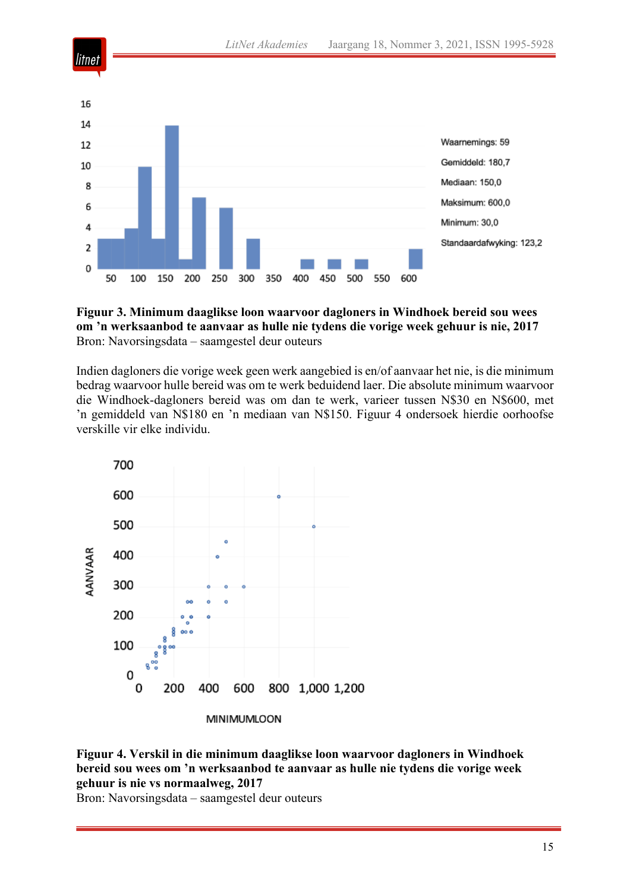

**Figuur 3. Minimum daaglikse loon waarvoor dagloners in Windhoek bereid sou wees om 'n werksaanbod te aanvaar as hulle nie tydens die vorige week gehuur is nie, 2017** Bron: Navorsingsdata – saamgestel deur outeurs

Indien dagloners die vorige week geen werk aangebied is en/of aanvaar het nie, is die minimum bedrag waarvoor hulle bereid was om te werk beduidend laer. Die absolute minimum waarvoor die Windhoek-dagloners bereid was om dan te werk, varieer tussen N\$30 en N\$600, met 'n gemiddeld van N\$180 en 'n mediaan van N\$150. Figuur 4 ondersoek hierdie oorhoofse verskille vir elke individu.





Bron: Navorsingsdata – saamgestel deur outeurs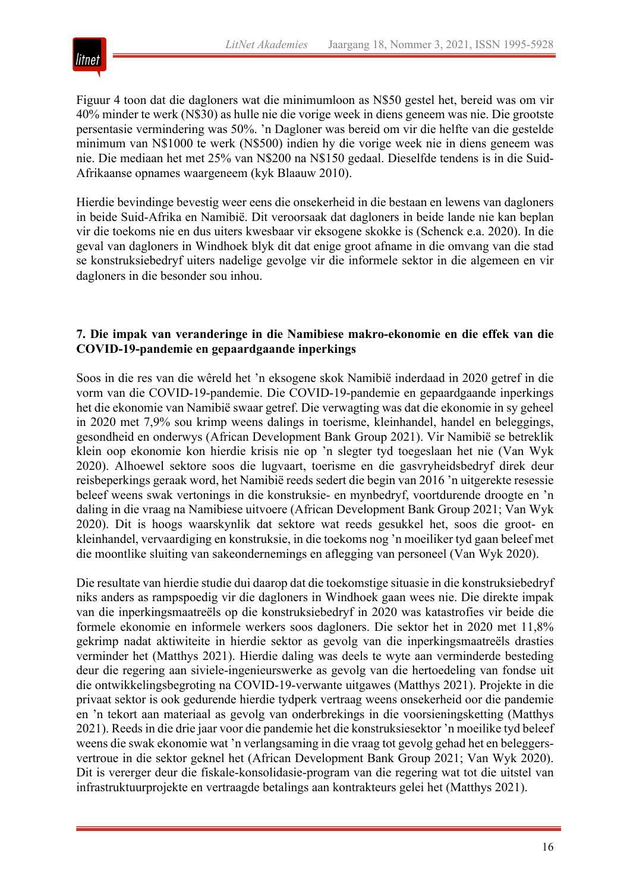

Figuur 4 toon dat die dagloners wat die minimumloon as N\$50 gestel het, bereid was om vir 40% minder te werk (N\$30) as hulle nie die vorige week in diens geneem was nie. Die grootste persentasie vermindering was 50%. 'n Dagloner was bereid om vir die helfte van die gestelde minimum van N\$1000 te werk (N\$500) indien hy die vorige week nie in diens geneem was nie. Die mediaan het met 25% van N\$200 na N\$150 gedaal. Dieselfde tendens is in die Suid-Afrikaanse opnames waargeneem (kyk Blaauw 2010).

Hierdie bevindinge bevestig weer eens die onsekerheid in die bestaan en lewens van dagloners in beide Suid-Afrika en Namibië. Dit veroorsaak dat dagloners in beide lande nie kan beplan vir die toekoms nie en dus uiters kwesbaar vir eksogene skokke is (Schenck e.a. 2020). In die geval van dagloners in Windhoek blyk dit dat enige groot afname in die omvang van die stad se konstruksiebedryf uiters nadelige gevolge vir die informele sektor in die algemeen en vir dagloners in die besonder sou inhou.

#### **7. Die impak van veranderinge in die Namibiese makro-ekonomie en die effek van die COVID-19-pandemie en gepaardgaande inperkings**

Soos in die res van die wêreld het 'n eksogene skok Namibië inderdaad in 2020 getref in die vorm van die COVID-19-pandemie. Die COVID-19-pandemie en gepaardgaande inperkings het die ekonomie van Namibië swaar getref. Die verwagting was dat die ekonomie in sy geheel in 2020 met 7,9% sou krimp weens dalings in toerisme, kleinhandel, handel en beleggings, gesondheid en onderwys (African Development Bank Group 2021). Vir Namibië se betreklik klein oop ekonomie kon hierdie krisis nie op 'n slegter tyd toegeslaan het nie (Van Wyk 2020). Alhoewel sektore soos die lugvaart, toerisme en die gasvryheidsbedryf direk deur reisbeperkings geraak word, het Namibië reeds sedert die begin van 2016 'n uitgerekte resessie beleef weens swak vertonings in die konstruksie- en mynbedryf, voortdurende droogte en 'n daling in die vraag na Namibiese uitvoere (African Development Bank Group 2021; Van Wyk 2020). Dit is hoogs waarskynlik dat sektore wat reeds gesukkel het, soos die groot- en kleinhandel, vervaardiging en konstruksie, in die toekoms nog 'n moeiliker tyd gaan beleef met die moontlike sluiting van sakeondernemings en aflegging van personeel (Van Wyk 2020).

Die resultate van hierdie studie dui daarop dat die toekomstige situasie in die konstruksiebedryf niks anders as rampspoedig vir die dagloners in Windhoek gaan wees nie. Die direkte impak van die inperkingsmaatreëls op die konstruksiebedryf in 2020 was katastrofies vir beide die formele ekonomie en informele werkers soos dagloners. Die sektor het in 2020 met 11,8% gekrimp nadat aktiwiteite in hierdie sektor as gevolg van die inperkingsmaatreëls drasties verminder het (Matthys 2021). Hierdie daling was deels te wyte aan verminderde besteding deur die regering aan siviele-ingenieurswerke as gevolg van die hertoedeling van fondse uit die ontwikkelingsbegroting na COVID-19-verwante uitgawes (Matthys 2021). Projekte in die privaat sektor is ook gedurende hierdie tydperk vertraag weens onsekerheid oor die pandemie en 'n tekort aan materiaal as gevolg van onderbrekings in die voorsieningsketting (Matthys 2021). Reeds in die drie jaar voor die pandemie het die konstruksiesektor 'n moeilike tyd beleef weens die swak ekonomie wat 'n verlangsaming in die vraag tot gevolg gehad het en beleggersvertroue in die sektor geknel het (African Development Bank Group 2021; Van Wyk 2020). Dit is vererger deur die fiskale-konsolidasie-program van die regering wat tot die uitstel van infrastruktuurprojekte en vertraagde betalings aan kontrakteurs gelei het (Matthys 2021).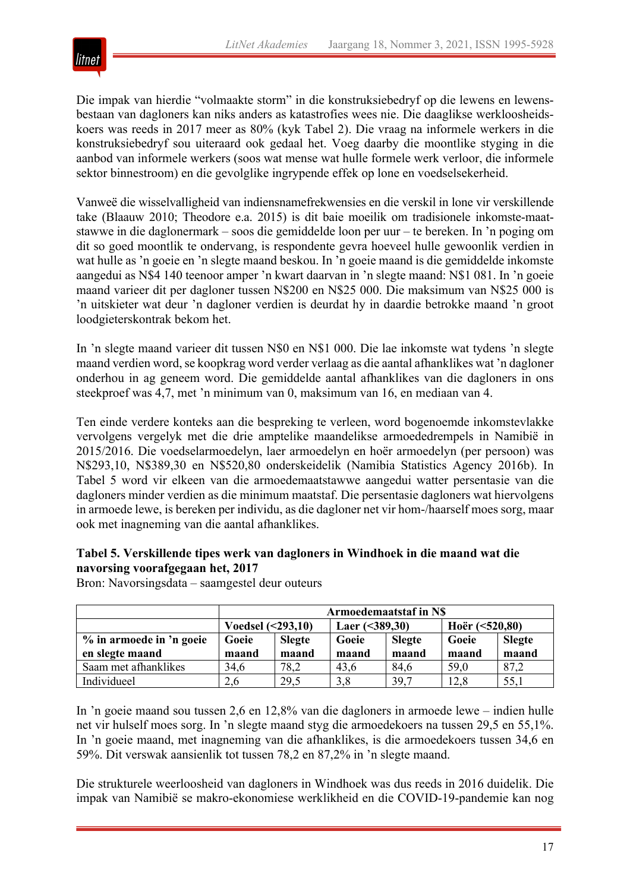

Die impak van hierdie "volmaakte storm" in die konstruksiebedryf op die lewens en lewensbestaan van dagloners kan niks anders as katastrofies wees nie. Die daaglikse werkloosheidskoers was reeds in 2017 meer as 80% (kyk Tabel 2). Die vraag na informele werkers in die konstruksiebedryf sou uiteraard ook gedaal het. Voeg daarby die moontlike styging in die aanbod van informele werkers (soos wat mense wat hulle formele werk verloor, die informele sektor binnestroom) en die gevolglike ingrypende effek op lone en voedselsekerheid.

Vanweë die wisselvalligheid van indiensnamefrekwensies en die verskil in lone vir verskillende take (Blaauw 2010; Theodore e.a. 2015) is dit baie moeilik om tradisionele inkomste-maatstawwe in die daglonermark – soos die gemiddelde loon per uur – te bereken. In 'n poging om dit so goed moontlik te ondervang, is respondente gevra hoeveel hulle gewoonlik verdien in wat hulle as 'n goeie en 'n slegte maand beskou. In 'n goeie maand is die gemiddelde inkomste aangedui as N\$4 140 teenoor amper 'n kwart daarvan in 'n slegte maand: N\$1 081. In 'n goeie maand varieer dit per dagloner tussen N\$200 en N\$25 000. Die maksimum van N\$25 000 is 'n uitskieter wat deur 'n dagloner verdien is deurdat hy in daardie betrokke maand 'n groot loodgieterskontrak bekom het.

In 'n slegte maand varieer dit tussen N\$0 en N\$1 000. Die lae inkomste wat tydens 'n slegte maand verdien word, se koopkrag word verder verlaag as die aantal afhanklikes wat 'n dagloner onderhou in ag geneem word. Die gemiddelde aantal afhanklikes van die dagloners in ons steekproef was 4,7, met 'n minimum van 0, maksimum van 16, en mediaan van 4.

Ten einde verdere konteks aan die bespreking te verleen, word bogenoemde inkomstevlakke vervolgens vergelyk met die drie amptelike maandelikse armoededrempels in Namibië in 2015/2016. Die voedselarmoedelyn, laer armoedelyn en hoër armoedelyn (per persoon) was N\$293,10, N\$389,30 en N\$520,80 onderskeidelik (Namibia Statistics Agency 2016b). In Tabel 5 word vir elkeen van die armoedemaatstawwe aangedui watter persentasie van die dagloners minder verdien as die minimum maatstaf. Die persentasie dagloners wat hiervolgens in armoede lewe, is bereken per individu, as die dagloner net vir hom-/haarself moes sorg, maar ook met inagneming van die aantal afhanklikes.

#### **Tabel 5. Verskillende tipes werk van dagloners in Windhoek in die maand wat die navorsing voorafgegaan het, 2017**

|                          | Armoedemaatstaf in NS |               |                 |               |                  |               |
|--------------------------|-----------------------|---------------|-----------------|---------------|------------------|---------------|
|                          | Voedsel $(293,10)$    |               | Laer $(389,30)$ |               | Hoër $(<520,80)$ |               |
| % in armoede in 'n goeie | Goeie                 | <b>Slegte</b> | Goeie           | <b>Slegte</b> | Goeie            | <b>Slegte</b> |
| en slegte maand          | maand                 | maand         | maand           | maand         | maand            | maand         |
| Saam met afhanklikes     | 34,6                  | 78,2          | 43,6            | 84,6          | 59,0             | 87,2          |
| Individueel              | 2.6                   | 29,5          | 3,8             | 39,7          | 12,8             | 55,1          |

Bron: Navorsingsdata – saamgestel deur outeurs

In 'n goeie maand sou tussen 2,6 en 12,8% van die dagloners in armoede lewe – indien hulle net vir hulself moes sorg. In 'n slegte maand styg die armoedekoers na tussen 29,5 en 55,1%. In 'n goeie maand, met inagneming van die afhanklikes, is die armoedekoers tussen 34,6 en 59%. Dit verswak aansienlik tot tussen 78,2 en 87,2% in 'n slegte maand.

Die strukturele weerloosheid van dagloners in Windhoek was dus reeds in 2016 duidelik. Die impak van Namibië se makro-ekonomiese werklikheid en die COVID-19-pandemie kan nog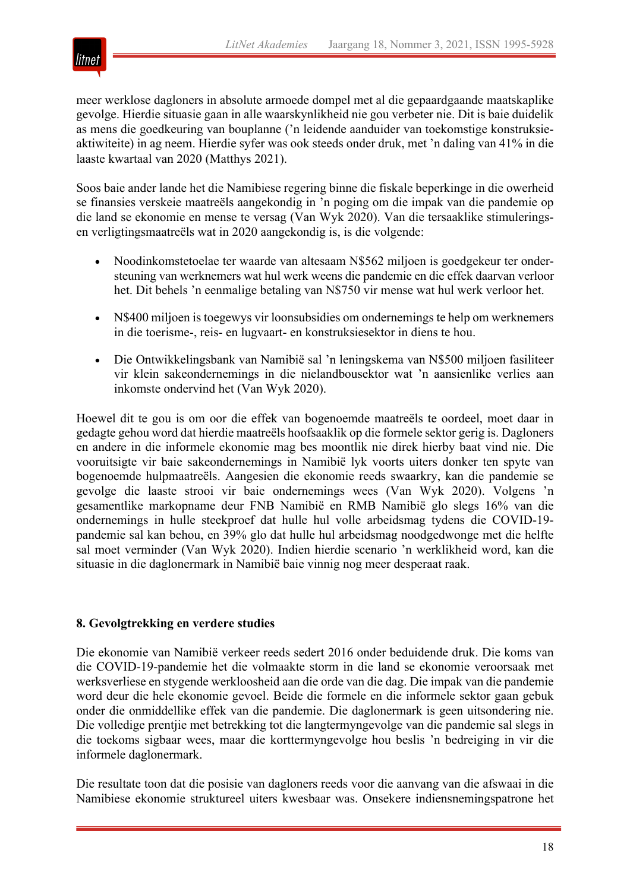

meer werklose dagloners in absolute armoede dompel met al die gepaardgaande maatskaplike gevolge. Hierdie situasie gaan in alle waarskynlikheid nie gou verbeter nie. Dit is baie duidelik as mens die goedkeuring van bouplanne ('n leidende aanduider van toekomstige konstruksieaktiwiteite) in ag neem. Hierdie syfer was ook steeds onder druk, met 'n daling van 41% in die laaste kwartaal van 2020 (Matthys 2021).

Soos baie ander lande het die Namibiese regering binne die fiskale beperkinge in die owerheid se finansies verskeie maatreëls aangekondig in 'n poging om die impak van die pandemie op die land se ekonomie en mense te versag (Van Wyk 2020). Van die tersaaklike stimuleringsen verligtingsmaatreëls wat in 2020 aangekondig is, is die volgende:

- Noodinkomstetoelae ter waarde van altesaam N\$562 miljoen is goedgekeur ter ondersteuning van werknemers wat hul werk weens die pandemie en die effek daarvan verloor het. Dit behels 'n eenmalige betaling van N\$750 vir mense wat hul werk verloor het.
- N\$400 miljoen is toegewys vir loonsubsidies om ondernemings te help om werknemers in die toerisme-, reis- en lugvaart- en konstruksiesektor in diens te hou.
- Die Ontwikkelingsbank van Namibië sal 'n leningskema van N\$500 miljoen fasiliteer vir klein sakeondernemings in die nielandbousektor wat 'n aansienlike verlies aan inkomste ondervind het (Van Wyk 2020).

Hoewel dit te gou is om oor die effek van bogenoemde maatreëls te oordeel, moet daar in gedagte gehou word dat hierdie maatreëls hoofsaaklik op die formele sektor gerig is. Dagloners en andere in die informele ekonomie mag bes moontlik nie direk hierby baat vind nie. Die vooruitsigte vir baie sakeondernemings in Namibië lyk voorts uiters donker ten spyte van bogenoemde hulpmaatreëls. Aangesien die ekonomie reeds swaarkry, kan die pandemie se gevolge die laaste strooi vir baie ondernemings wees (Van Wyk 2020). Volgens 'n gesamentlike markopname deur FNB Namibië en RMB Namibië glo slegs 16% van die ondernemings in hulle steekproef dat hulle hul volle arbeidsmag tydens die COVID-19 pandemie sal kan behou, en 39% glo dat hulle hul arbeidsmag noodgedwonge met die helfte sal moet verminder (Van Wyk 2020). Indien hierdie scenario 'n werklikheid word, kan die situasie in die daglonermark in Namibië baie vinnig nog meer desperaat raak.

#### **8. Gevolgtrekking en verdere studies**

Die ekonomie van Namibië verkeer reeds sedert 2016 onder beduidende druk. Die koms van die COVID-19-pandemie het die volmaakte storm in die land se ekonomie veroorsaak met werksverliese en stygende werkloosheid aan die orde van die dag. Die impak van die pandemie word deur die hele ekonomie gevoel. Beide die formele en die informele sektor gaan gebuk onder die onmiddellike effek van die pandemie. Die daglonermark is geen uitsondering nie. Die volledige prentjie met betrekking tot die langtermyngevolge van die pandemie sal slegs in die toekoms sigbaar wees, maar die korttermyngevolge hou beslis 'n bedreiging in vir die informele daglonermark.

Die resultate toon dat die posisie van dagloners reeds voor die aanvang van die afswaai in die Namibiese ekonomie struktureel uiters kwesbaar was. Onsekere indiensnemingspatrone het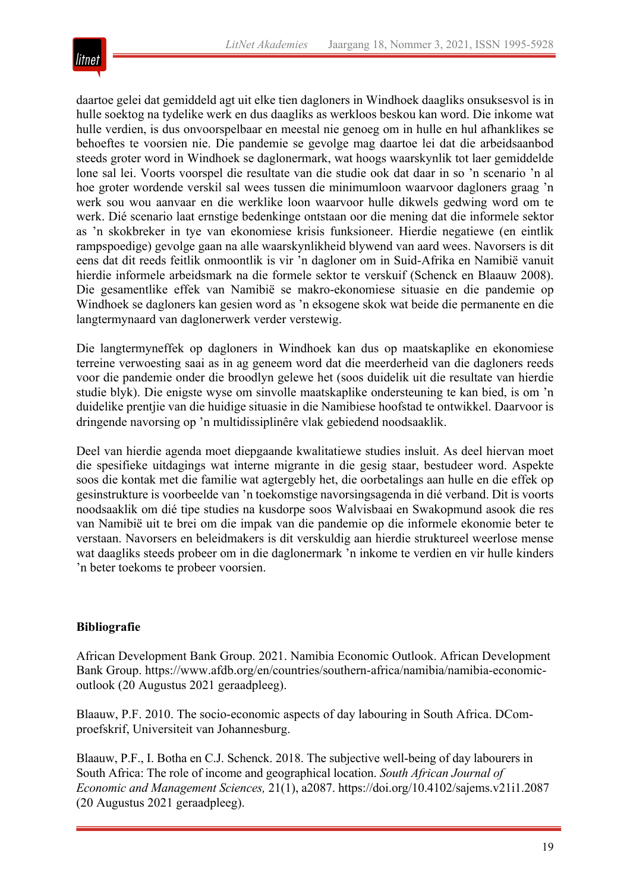

daartoe gelei dat gemiddeld agt uit elke tien dagloners in Windhoek daagliks onsuksesvol is in hulle soektog na tydelike werk en dus daagliks as werkloos beskou kan word. Die inkome wat hulle verdien, is dus onvoorspelbaar en meestal nie genoeg om in hulle en hul afhanklikes se behoeftes te voorsien nie. Die pandemie se gevolge mag daartoe lei dat die arbeidsaanbod steeds groter word in Windhoek se daglonermark, wat hoogs waarskynlik tot laer gemiddelde lone sal lei. Voorts voorspel die resultate van die studie ook dat daar in so 'n scenario 'n al hoe groter wordende verskil sal wees tussen die minimumloon waarvoor dagloners graag 'n werk sou wou aanvaar en die werklike loon waarvoor hulle dikwels gedwing word om te werk. Dié scenario laat ernstige bedenkinge ontstaan oor die mening dat die informele sektor as 'n skokbreker in tye van ekonomiese krisis funksioneer. Hierdie negatiewe (en eintlik rampspoedige) gevolge gaan na alle waarskynlikheid blywend van aard wees. Navorsers is dit eens dat dit reeds feitlik onmoontlik is vir 'n dagloner om in Suid-Afrika en Namibië vanuit hierdie informele arbeidsmark na die formele sektor te verskuif (Schenck en Blaauw 2008). Die gesamentlike effek van Namibië se makro-ekonomiese situasie en die pandemie op Windhoek se dagloners kan gesien word as 'n eksogene skok wat beide die permanente en die langtermynaard van daglonerwerk verder verstewig.

Die langtermyneffek op dagloners in Windhoek kan dus op maatskaplike en ekonomiese terreine verwoesting saai as in ag geneem word dat die meerderheid van die dagloners reeds voor die pandemie onder die broodlyn gelewe het (soos duidelik uit die resultate van hierdie studie blyk). Die enigste wyse om sinvolle maatskaplike ondersteuning te kan bied, is om 'n duidelike prentjie van die huidige situasie in die Namibiese hoofstad te ontwikkel. Daarvoor is dringende navorsing op 'n multidissiplinêre vlak gebiedend noodsaaklik.

Deel van hierdie agenda moet diepgaande kwalitatiewe studies insluit. As deel hiervan moet die spesifieke uitdagings wat interne migrante in die gesig staar, bestudeer word. Aspekte soos die kontak met die familie wat agtergebly het, die oorbetalings aan hulle en die effek op gesinstrukture is voorbeelde van 'n toekomstige navorsingsagenda in dié verband. Dit is voorts noodsaaklik om dié tipe studies na kusdorpe soos Walvisbaai en Swakopmund asook die res van Namibië uit te brei om die impak van die pandemie op die informele ekonomie beter te verstaan. Navorsers en beleidmakers is dit verskuldig aan hierdie struktureel weerlose mense wat daagliks steeds probeer om in die daglonermark 'n inkome te verdien en vir hulle kinders 'n beter toekoms te probeer voorsien.

#### **Bibliografie**

African Development Bank Group. 2021. Namibia Economic Outlook. African Development Bank Group. https://www.afdb.org/en/countries/southern-africa/namibia/namibia-economicoutlook (20 Augustus 2021 geraadpleeg).

Blaauw, P.F. 2010. The socio-economic aspects of day labouring in South Africa. DComproefskrif, Universiteit van Johannesburg.

Blaauw, P.F., I. Botha en C.J. Schenck. 2018. The subjective well-being of day labourers in South Africa: The role of income and geographical location. *South African Journal of Economic and Management Sciences,* 21(1), a2087. https://doi.org/10.4102/sajems.v21i1.2087 (20 Augustus 2021 geraadpleeg).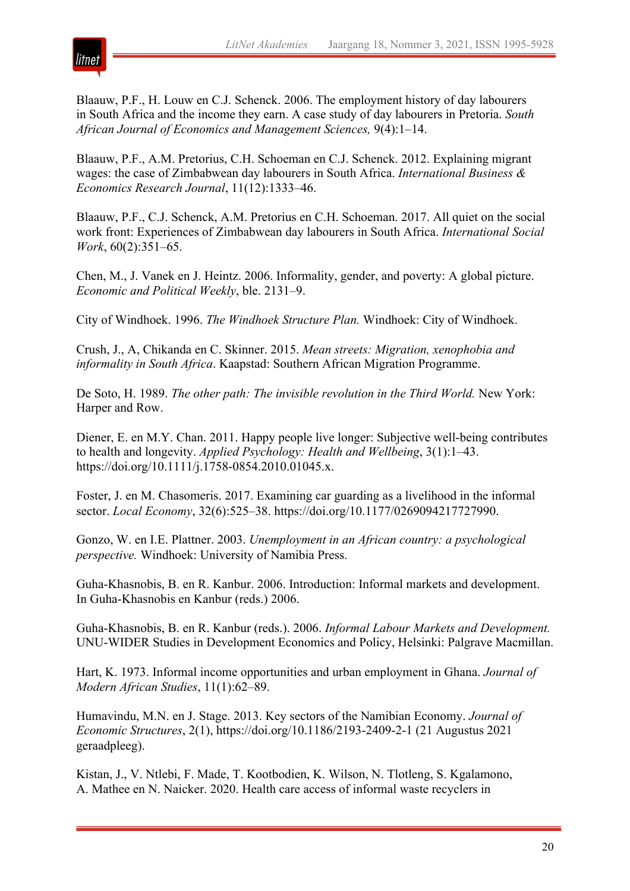

Blaauw, P.F., H. Louw en C.J. Schenck. 2006. The employment history of day labourers in South Africa and the income they earn. A case study of day labourers in Pretoria. *South African Journal of Economics and Management Sciences,* 9(4):1–14.

Blaauw, P.F., A.M. Pretorius, C.H. Schoeman en C.J. Schenck. 2012. Explaining migrant wages: the case of Zimbabwean day labourers in South Africa. *International Business & Economics Research Journal*, 11(12):1333–46.

Blaauw, P.F., C.J. Schenck, A.M. Pretorius en C.H. Schoeman. 2017. All quiet on the social work front: Experiences of Zimbabwean day labourers in South Africa. *International Social Work*, 60(2):351–65.

Chen, M., J. Vanek en J. Heintz. 2006. Informality, gender, and poverty: A global picture. *Economic and Political Weekly*, ble. 2131–9.

City of Windhoek. 1996. *The Windhoek Structure Plan.* Windhoek: City of Windhoek.

Crush, J., A, Chikanda en C. Skinner. 2015. *Mean streets: Migration, xenophobia and informality in South Africa*. Kaapstad: Southern African Migration Programme.

De Soto, H. 1989. *The other path: The invisible revolution in the Third World.* New York: Harper and Row.

Diener, E. en M.Y. Chan. 2011. Happy people live longer: Subjective well-being contributes to health and longevity. *Applied Psychology: Health and Wellbeing*, 3(1):1–43. https://doi.org/10.1111/j.1758-0854.2010.01045.x.

Foster, J. en M. Chasomeris. 2017. Examining car guarding as a livelihood in the informal sector. *Local Economy*, 32(6):525–38. https://doi.org/10.1177/0269094217727990.

Gonzo, W. en I.E. Plattner. 2003. *Unemployment in an African country: a psychological perspective.* Windhoek: University of Namibia Press.

Guha-Khasnobis, B. en R. Kanbur. 2006. Introduction: Informal markets and development. In Guha-Khasnobis en Kanbur (reds.) 2006.

Guha-Khasnobis, B. en R. Kanbur (reds.). 2006. *Informal Labour Markets and Development.* UNU-WIDER Studies in Development Economics and Policy, Helsinki: Palgrave Macmillan.

Hart, K. 1973. Informal income opportunities and urban employment in Ghana. *Journal of Modern African Studies*, 11(1):62–89.

Humavindu, M.N. en J. Stage. 2013. Key sectors of the Namibian Economy. *Journal of Economic Structures*, 2(1), https://doi.org/10.1186/2193-2409-2-1 (21 Augustus 2021 geraadpleeg).

Kistan, J., V. Ntlebi, F. Made, T. Kootbodien, K. Wilson, N. Tlotleng, S. Kgalamono, A. Mathee en N. Naicker. 2020. Health care access of informal waste recyclers in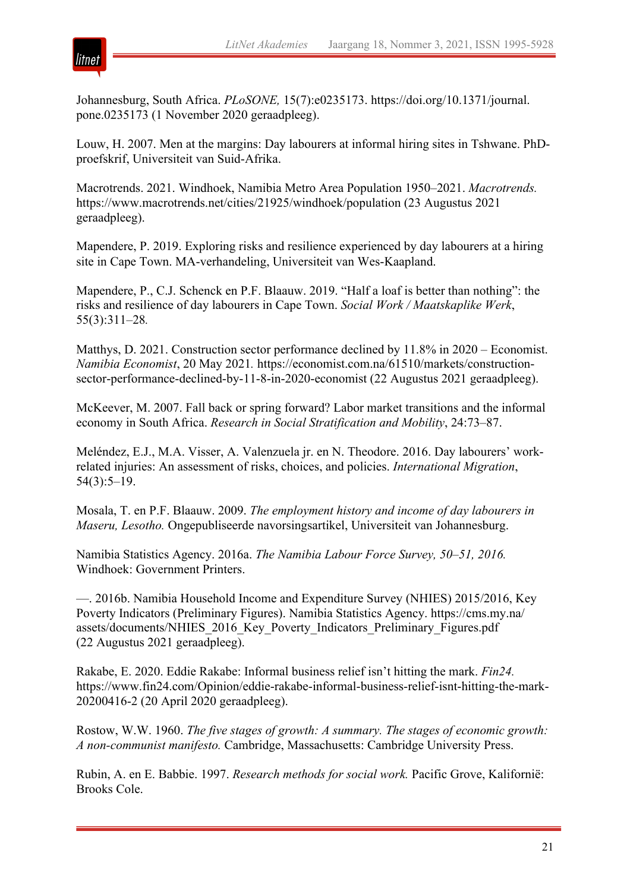

Johannesburg, South Africa. *PLoSONE,* 15(7):e0235173. https://doi.org/10.1371/journal. pone.0235173 (1 November 2020 geraadpleeg).

Louw, H. 2007. Men at the margins: Day labourers at informal hiring sites in Tshwane. PhDproefskrif, Universiteit van Suid-Afrika.

Macrotrends. 2021. Windhoek, Namibia Metro Area Population 1950–2021. *Macrotrends.* https://www.macrotrends.net/cities/21925/windhoek/population (23 Augustus 2021 geraadpleeg).

Mapendere, P. 2019. Exploring risks and resilience experienced by day labourers at a hiring site in Cape Town. MA-verhandeling, Universiteit van Wes-Kaapland.

Mapendere, P., C.J. Schenck en P.F. Blaauw. 2019. "Half a loaf is better than nothing": the risks and resilience of day labourers in Cape Town. *Social Work / Maatskaplike Werk*, 55(3):311–28*.*

Matthys, D. 2021. Construction sector performance declined by 11.8% in 2020 – Economist. *Namibia Economist*, 20 May 2021*.* https://economist.com.na/61510/markets/constructionsector-performance-declined-by-11-8-in-2020-economist (22 Augustus 2021 geraadpleeg).

McKeever, M. 2007. Fall back or spring forward? Labor market transitions and the informal economy in South Africa. *Research in Social Stratification and Mobility*, 24:73–87.

Meléndez, E.J., M.A. Visser, A. Valenzuela jr. en N. Theodore. 2016. Day labourers' workrelated injuries: An assessment of risks, choices, and policies. *International Migration*, 54(3):5–19.

Mosala, T. en P.F. Blaauw. 2009. *The employment history and income of day labourers in Maseru, Lesotho.* Ongepubliseerde navorsingsartikel, Universiteit van Johannesburg.

Namibia Statistics Agency. 2016a. *The Namibia Labour Force Survey, 50–51, 2016.*  Windhoek: Government Printers.

—. 2016b. Namibia Household Income and Expenditure Survey (NHIES) 2015/2016, Key Poverty Indicators (Preliminary Figures). Namibia Statistics Agency. https://cms.my.na/ assets/documents/NHIES\_2016\_Key\_Poverty\_Indicators\_Preliminary\_Figures.pdf (22 Augustus 2021 geraadpleeg).

Rakabe, E. 2020. Eddie Rakabe: Informal business relief isn't hitting the mark. *Fin24.* https://www.fin24.com/Opinion/eddie-rakabe-informal-business-relief-isnt-hitting-the-mark-20200416-2 (20 April 2020 geraadpleeg).

Rostow, W.W. 1960. *The five stages of growth: A summary. The stages of economic growth: A non-communist manifesto.* Cambridge, Massachusetts: Cambridge University Press.

Rubin, A. en E. Babbie. 1997. *Research methods for social work.* Pacific Grove, Kalifornië: Brooks Cole.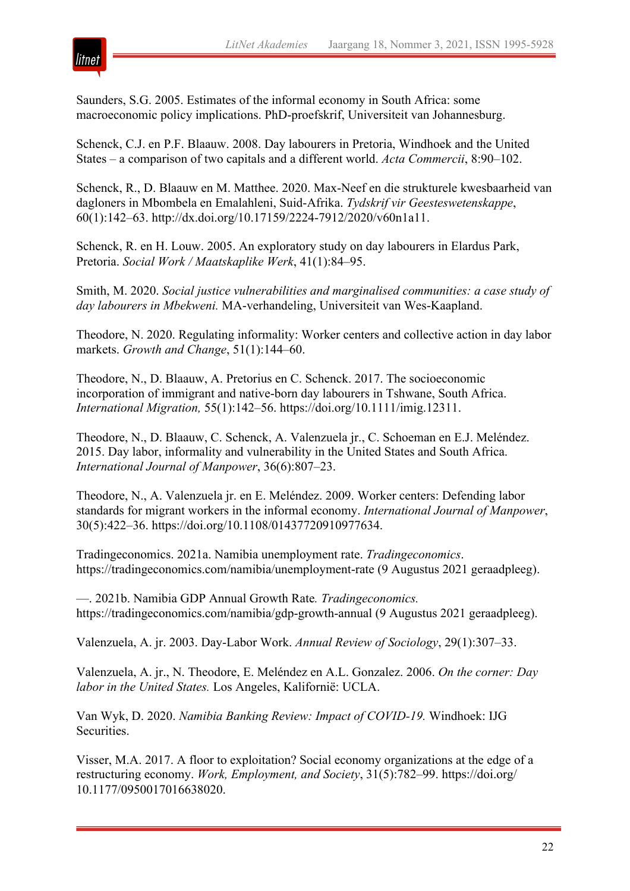

Saunders, S.G. 2005. Estimates of the informal economy in South Africa: some macroeconomic policy implications. PhD-proefskrif, Universiteit van Johannesburg.

Schenck, C.J. en P.F. Blaauw. 2008. Day labourers in Pretoria, Windhoek and the United States – a comparison of two capitals and a different world. *Acta Commercii*, 8:90–102.

Schenck, R., D. Blaauw en M. Matthee. 2020. Max-Neef en die strukturele kwesbaarheid van dagloners in Mbombela en Emalahleni, Suid-Afrika. *Tydskrif vir Geesteswetenskappe*, 60(1):142–63. http://dx.doi.org/10.17159/2224-7912/2020/v60n1a11.

Schenck, R. en H. Louw. 2005. An exploratory study on day labourers in Elardus Park, Pretoria. *Social Work / Maatskaplike Werk*, 41(1):84–95.

Smith, M. 2020. *Social justice vulnerabilities and marginalised communities: a case study of day labourers in Mbekweni.* MA-verhandeling, Universiteit van Wes-Kaapland.

Theodore, N. 2020. Regulating informality: Worker centers and collective action in day labor markets. *Growth and Change*, 51(1):144–60.

Theodore, N., D. Blaauw, A. Pretorius en C. Schenck. 2017. The socioeconomic incorporation of immigrant and native-born day labourers in Tshwane, South Africa. *International Migration,* 55(1):142–56. https://doi.org/10.1111/imig.12311.

Theodore, N., D. Blaauw, C. Schenck, A. Valenzuela jr., C. Schoeman en E.J. Meléndez. 2015. Day labor, informality and vulnerability in the United States and South Africa. *International Journal of Manpower*, 36(6):807–23.

Theodore, N., A. Valenzuela jr. en E. Meléndez. 2009. Worker centers: Defending labor standards for migrant workers in the informal economy. *International Journal of Manpower*, 30(5):422–36. https://doi.org/10.1108/01437720910977634.

Tradingeconomics. 2021a. Namibia unemployment rate. *Tradingeconomics*. https://tradingeconomics.com/namibia/unemployment-rate (9 Augustus 2021 geraadpleeg).

—. 2021b. Namibia GDP Annual Growth Rate*. Tradingeconomics.* https://tradingeconomics.com/namibia/gdp-growth-annual (9 Augustus 2021 geraadpleeg).

Valenzuela, A. jr. 2003. Day-Labor Work. *Annual Review of Sociology*, 29(1):307–33.

Valenzuela, A. jr., N. Theodore, E. Meléndez en A.L. Gonzalez. 2006. *On the corner: Day labor in the United States.* Los Angeles, Kalifornië: UCLA.

Van Wyk, D. 2020. *Namibia Banking Review: Impact of COVID-19.* Windhoek: IJG Securities.

Visser, M.A. 2017. A floor to exploitation? Social economy organizations at the edge of a restructuring economy. *Work, Employment, and Society*, 31(5):782–99. https://doi.org/ 10.1177/0950017016638020.